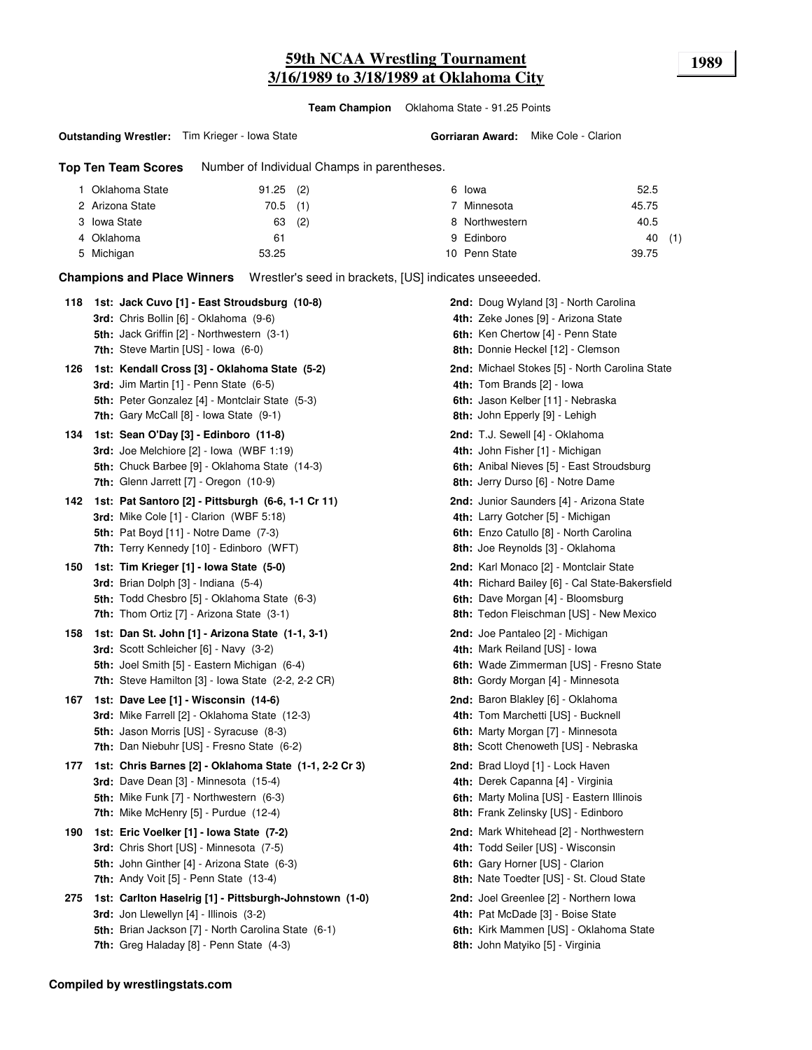# **59th NCAA Wrestling Tournament 1989 3/16/1989 to 3/18/1989 at Oklahoma City**

**Team Champion** Oklahoma State - 91.25 Points

#### **Outstanding Wrestler:** Tim Krieger - Iowa State

**Gorriaran Award:** Mike Cole - Clarion

**Top Ten Team Scores** Number of Individual Champs in parentheses.

| Oklahoma State  | $91.25$ (2) |          | 6 Iowa         | 52.5  |     |
|-----------------|-------------|----------|----------------|-------|-----|
| 2 Arizona State | $70.5$ (1)  |          | 7 Minnesota    | 45.75 |     |
| 3 Iowa State    |             | $63$ (2) | 8 Northwestern | 40.5  |     |
| 4 Oklahoma      | 61          |          | 9 Edinboro     | 40    | (1) |
| 5 Michigan      | 53.25       |          | 10 Penn State  | 39.75 |     |

**Champions and Place Winners** Wrestler's seed in brackets, [US] indicates unseeeded.

| 118 | 1st: Jack Cuvo [1] - East Stroudsburg (10-8)<br>3rd: Chris Bollin [6] - Oklahoma (9-6)                                                                                                                                 | <b>2nd:</b> Doug Wyland [3] - North Carolina<br>4th: Zeke Jones [9] - Arizona State                                                                                       |
|-----|------------------------------------------------------------------------------------------------------------------------------------------------------------------------------------------------------------------------|---------------------------------------------------------------------------------------------------------------------------------------------------------------------------|
|     | 5th: Jack Griffin [2] - Northwestern (3-1)<br><b>7th:</b> Steve Martin $[US]$ - Iowa $(6-0)$                                                                                                                           | 6th: Ken Chertow [4] - Penn State<br>8th: Donnie Heckel [12] - Clemson                                                                                                    |
| 126 | 1st: Kendall Cross [3] - Oklahoma State (5-2)<br>3rd: Jim Martin [1] - Penn State (6-5)<br>5th: Peter Gonzalez [4] - Montclair State (5-3)<br><b>7th:</b> Gary McCall $[8]$ - Iowa State $(9-1)$                       | 2nd: Michael Stokes [5] - North Carolina State<br>4th: Tom Brands [2] - Iowa<br>6th: Jason Kelber [11] - Nebraska<br>8th: John Epperly [9] - Lehigh                       |
| 134 | 1st: Sean O'Day [3] - Edinboro (11-8)<br>3rd: Joe Melchiore [2] - Iowa (WBF 1:19)<br>5th: Chuck Barbee [9] - Oklahoma State (14-3)<br>7th: Glenn Jarrett [7] - Oregon (10-9)                                           | 2nd: T.J. Sewell [4] - Oklahoma<br>4th: John Fisher [1] - Michigan<br>6th: Anibal Nieves [5] - East Stroudsburg<br>8th: Jerry Durso [6] - Notre Dame                      |
| 142 | 1st: Pat Santoro [2] - Pittsburgh (6-6, 1-1 Cr 11)<br><b>3rd:</b> Mike Cole $[1]$ - Clarion (WBF 5:18)<br><b>5th:</b> Pat Boyd [11] - Notre Dame (7-3)<br>7th: Terry Kennedy [10] - Edinboro (WFT)                     | <b>2nd:</b> Junior Saunders [4] - Arizona State<br>4th: Larry Gotcher [5] - Michigan<br>6th: Enzo Catullo [8] - North Carolina<br>8th: Joe Reynolds [3] - Oklahoma        |
| 150 | 1st: Tim Krieger [1] - Iowa State (5-0)<br>3rd: Brian Dolph [3] - Indiana (5-4)<br>5th: Todd Chesbro [5] - Oklahoma State (6-3)<br><b>7th:</b> Thom Ortiz $[7]$ - Arizona State $(3-1)$                                | 2nd: Karl Monaco [2] - Montclair State<br>4th: Richard Bailey [6] - Cal State-Bakersfield<br>6th: Dave Morgan [4] - Bloomsburg<br>8th: Tedon Fleischman [US] - New Mexico |
| 158 | 1st: Dan St. John [1] - Arizona State (1-1, 3-1)<br>3rd: Scott Schleicher [6] - Navy (3-2)<br>5th: Joel Smith [5] - Eastern Michigan (6-4)<br><b>7th:</b> Steve Hamilton $[3]$ - Iowa State $(2-2, 2-2)$ CR)           | 2nd: Joe Pantaleo [2] - Michigan<br>4th: Mark Reiland [US] - Iowa<br>6th: Wade Zimmerman [US] - Fresno State<br>8th: Gordy Morgan [4] - Minnesota                         |
| 167 | 1st: Dave Lee [1] - Wisconsin (14-6)<br>3rd: Mike Farrell [2] - Oklahoma State (12-3)<br><b>5th: Jason Morris [US] - Syracuse (8-3)</b><br><b>7th:</b> Dan Niebuhr [US] - Fresno State (6-2)                           | 2nd: Baron Blakley [6] - Oklahoma<br>4th: Tom Marchetti [US] - Bucknell<br>6th: Marty Morgan [7] - Minnesota<br><b>8th:</b> Scott Chenoweth [US] - Nebraska               |
| 177 | 1st: Chris Barnes [2] - Oklahoma State (1-1, 2-2 Cr 3)<br>3rd: Dave Dean [3] - Minnesota (15-4)<br>5th: Mike Funk [7] - Northwestern (6-3)<br>7th: Mike McHenry [5] - Purdue (12-4)                                    | 2nd: Brad Lloyd [1] - Lock Haven<br>4th: Derek Capanna [4] - Virginia<br>6th: Marty Molina [US] - Eastern Illinois<br>8th: Frank Zelinsky [US] - Edinboro                 |
| 190 | 1st: Eric Voelker [1] - Iowa State (7-2)<br><b>3rd:</b> Chris Short [US] - Minnesota (7-5)<br>5th: John Ginther [4] - Arizona State (6-3)<br><b>7th:</b> Andy Voit $[5]$ - Penn State $(13-4)$                         | 2nd: Mark Whitehead [2] - Northwestern<br>4th: Todd Seiler [US] - Wisconsin<br>6th: Gary Horner [US] - Clarion<br>8th: Nate Toedter [US] - St. Cloud State                |
| 275 | 1st: Carlton Haselrig [1] - Pittsburgh-Johnstown (1-0)<br><b>3rd:</b> Jon Llewellyn $[4]$ - Illinois $(3-2)$<br><b>5th:</b> Brian Jackson [7] - North Carolina State (6-1)<br>7th: Greg Haladay [8] - Penn State (4-3) | <b>2nd:</b> Joel Greenlee [2] - Northern Iowa<br>4th: Pat McDade [3] - Boise State<br>6th: Kirk Mammen [US] - Oklahoma State<br>8th: John Matyiko [5] - Virginia          |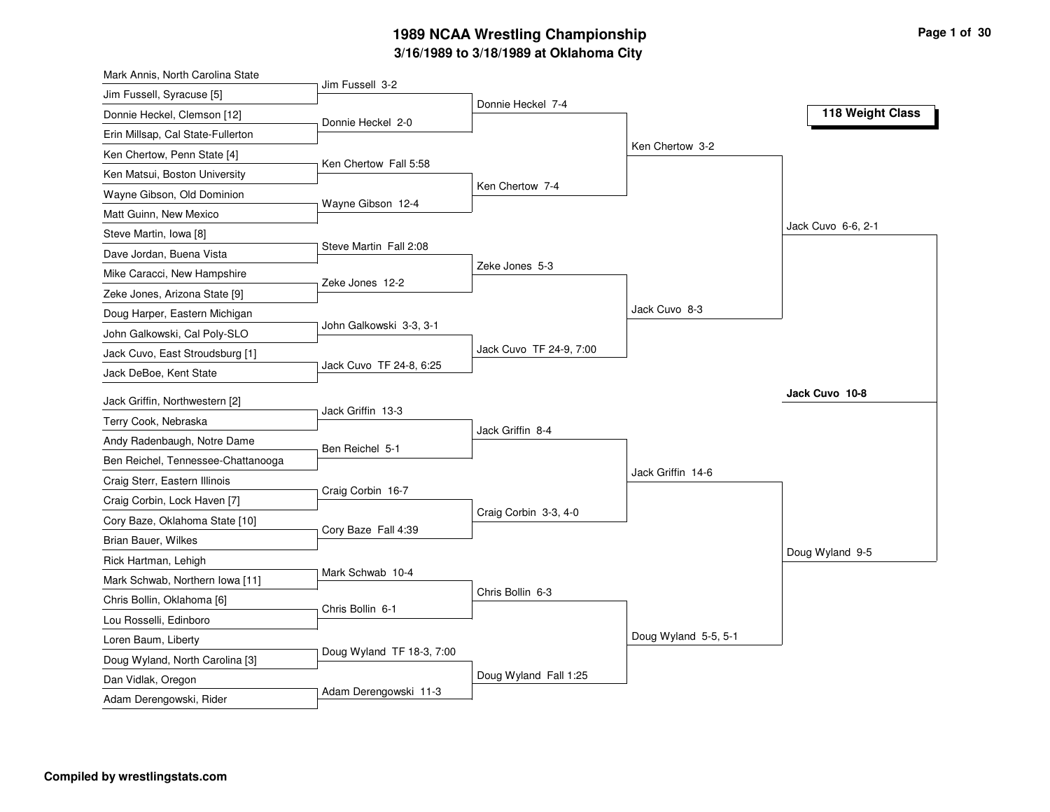# **3/16/1989 to 3/18/1989 at Oklahoma City 1989 NCAA Wrestling Championship Page <sup>1</sup> of <sup>30</sup>**

| Mark Annis, North Carolina State   |                           |                         |                      |                    |
|------------------------------------|---------------------------|-------------------------|----------------------|--------------------|
| Jim Fussell, Syracuse [5]          | Jim Fussell 3-2           |                         |                      |                    |
| Donnie Heckel, Clemson [12]        | Donnie Heckel 2-0         | Donnie Heckel 7-4       |                      | 118 Weight Class   |
| Erin Millsap, Cal State-Fullerton  |                           |                         |                      |                    |
| Ken Chertow, Penn State [4]        |                           |                         | Ken Chertow 3-2      |                    |
| Ken Matsui, Boston University      | Ken Chertow Fall 5:58     |                         |                      |                    |
| Wayne Gibson, Old Dominion         |                           | Ken Chertow 7-4         |                      |                    |
| Matt Guinn, New Mexico             | Wayne Gibson 12-4         |                         |                      |                    |
| Steve Martin, Iowa [8]             |                           |                         |                      | Jack Cuvo 6-6, 2-1 |
| Dave Jordan, Buena Vista           | Steve Martin Fall 2:08    |                         |                      |                    |
| Mike Caracci, New Hampshire        |                           | Zeke Jones 5-3          |                      |                    |
| Zeke Jones, Arizona State [9]      | Zeke Jones 12-2           |                         |                      |                    |
| Doug Harper, Eastern Michigan      |                           |                         | Jack Cuvo 8-3        |                    |
| John Galkowski, Cal Poly-SLO       | John Galkowski 3-3, 3-1   |                         |                      |                    |
| Jack Cuvo, East Stroudsburg [1]    |                           | Jack Cuvo TF 24-9, 7:00 |                      |                    |
| Jack DeBoe, Kent State             | Jack Cuvo TF 24-8, 6:25   |                         |                      |                    |
|                                    |                           |                         |                      | Jack Cuvo 10-8     |
| Jack Griffin, Northwestern [2]     | Jack Griffin 13-3         |                         |                      |                    |
| Terry Cook, Nebraska               |                           | Jack Griffin 8-4        |                      |                    |
| Andy Radenbaugh, Notre Dame        | Ben Reichel 5-1           |                         |                      |                    |
| Ben Reichel, Tennessee-Chattanooga |                           |                         | Jack Griffin 14-6    |                    |
| Craig Sterr, Eastern Illinois      | Craig Corbin 16-7         |                         |                      |                    |
| Craig Corbin, Lock Haven [7]       |                           | Craig Corbin 3-3, 4-0   |                      |                    |
| Cory Baze, Oklahoma State [10]     | Cory Baze Fall 4:39       |                         |                      |                    |
| Brian Bauer, Wilkes                |                           |                         |                      | Doug Wyland 9-5    |
| Rick Hartman, Lehigh               | Mark Schwab 10-4          |                         |                      |                    |
| Mark Schwab, Northern Iowa [11]    |                           | Chris Bollin 6-3        |                      |                    |
| Chris Bollin, Oklahoma [6]         | Chris Bollin 6-1          |                         |                      |                    |
| Lou Rosselli, Edinboro             |                           |                         |                      |                    |
| Loren Baum, Liberty                | Doug Wyland TF 18-3, 7:00 |                         | Doug Wyland 5-5, 5-1 |                    |
| Doug Wyland, North Carolina [3]    |                           |                         |                      |                    |
| Dan Vidlak, Oregon                 | Adam Derengowski 11-3     | Doug Wyland Fall 1:25   |                      |                    |
| Adam Derengowski, Rider            |                           |                         |                      |                    |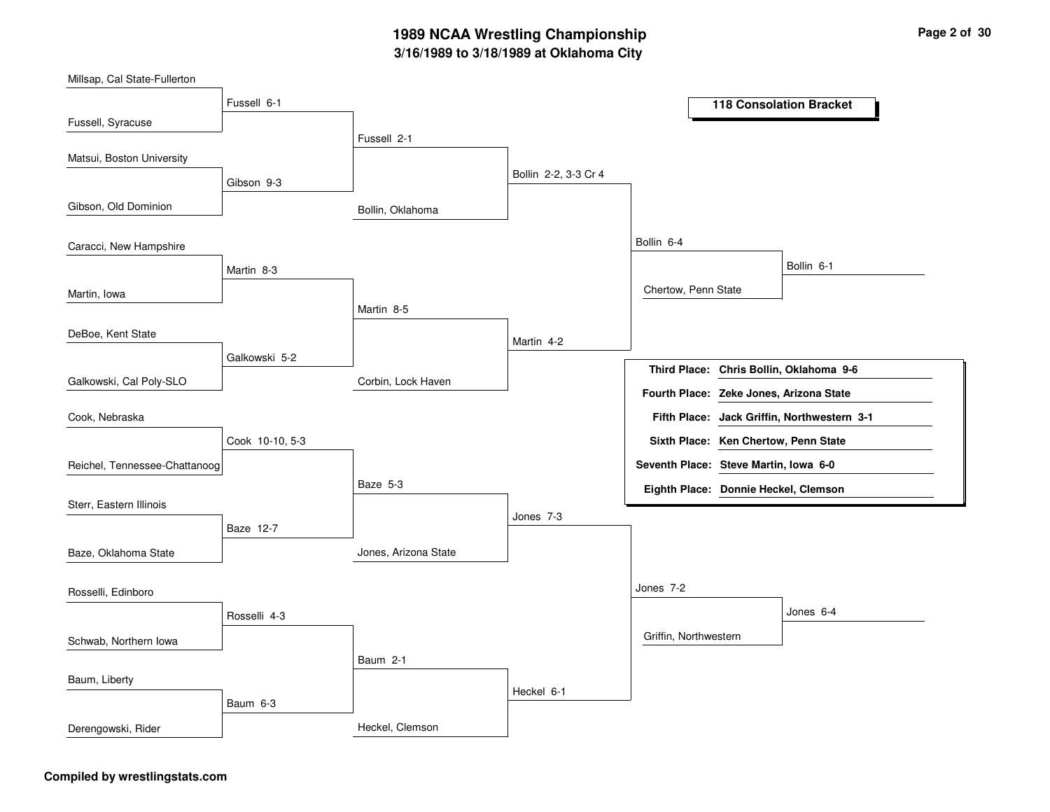## **3/16/1989 to 3/18/1989 at Oklahoma City 1989 NCAA Wrestling Championship Page <sup>2</sup> of <sup>30</sup>**

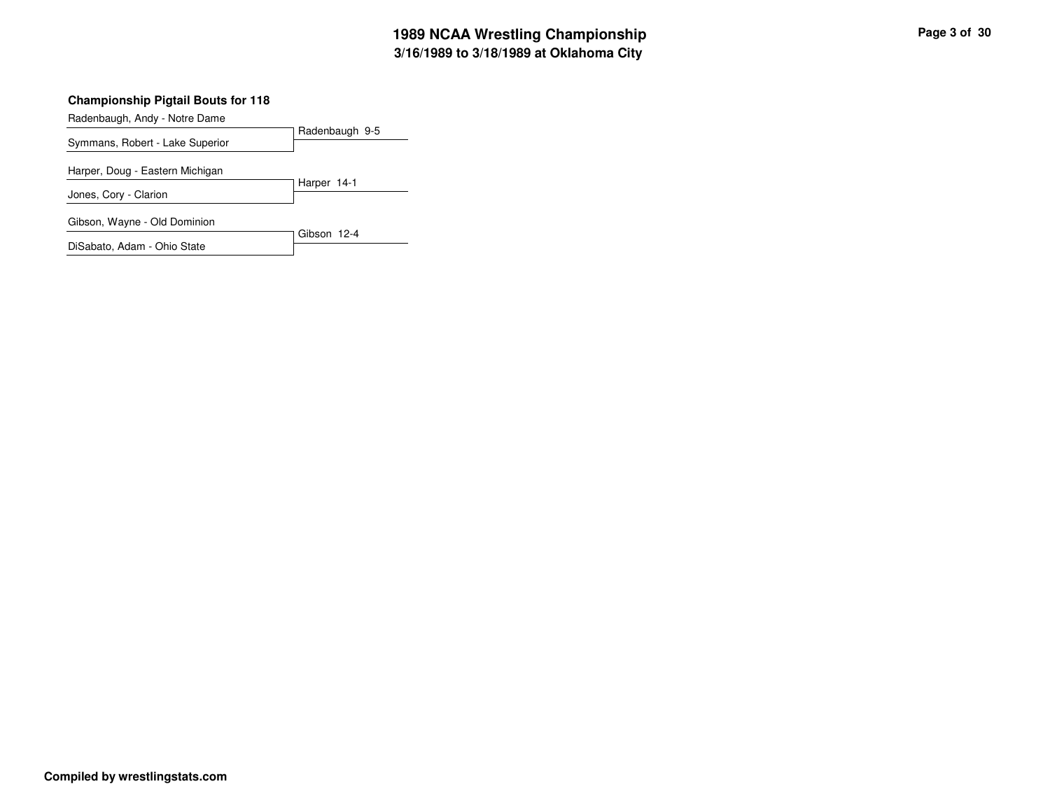Radenbaugh, Andy - Notre Dame

|                                 | Radenbaugh 9-5 |
|---------------------------------|----------------|
| Symmans, Robert - Lake Superior |                |
| Harper, Doug - Eastern Michigan |                |
|                                 | Harper 14-1    |
| Jones, Cory - Clarion           |                |
| Gibson, Wayne - Old Dominion    |                |
|                                 | Gibson 12-4    |
| DiSabato, Adam - Ohio State     |                |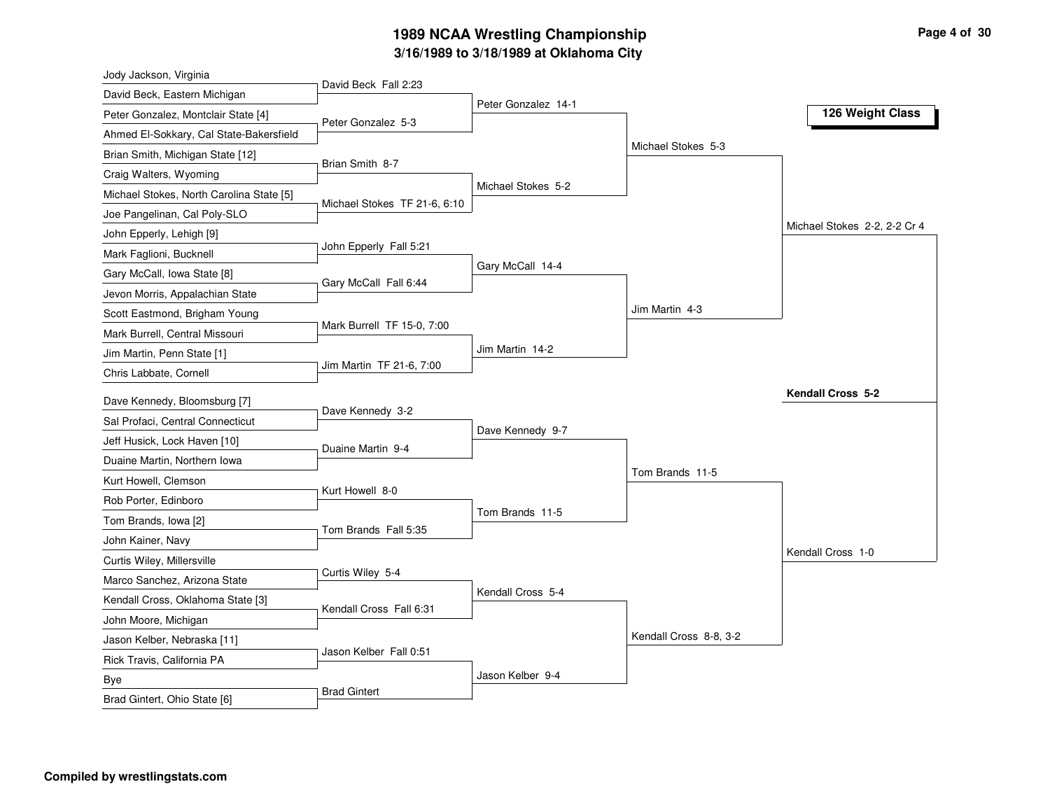# **3/16/1989 to 3/18/1989 at Oklahoma City 1989 NCAA Wrestling Championship Page <sup>4</sup> of <sup>30</sup>**

| Jody Jackson, Virginia                   |                              |                     |                        |                              |
|------------------------------------------|------------------------------|---------------------|------------------------|------------------------------|
| David Beck, Eastern Michigan             | David Beck Fall 2:23         |                     |                        |                              |
| Peter Gonzalez, Montclair State [4]      | Peter Gonzalez 5-3           | Peter Gonzalez 14-1 |                        | 126 Weight Class             |
| Ahmed El-Sokkary, Cal State-Bakersfield  |                              |                     |                        |                              |
| Brian Smith, Michigan State [12]         |                              |                     | Michael Stokes 5-3     |                              |
| Craig Walters, Wyoming                   | Brian Smith 8-7              |                     |                        |                              |
| Michael Stokes, North Carolina State [5] |                              | Michael Stokes 5-2  |                        |                              |
| Joe Pangelinan, Cal Poly-SLO             | Michael Stokes TF 21-6, 6:10 |                     |                        |                              |
| John Epperly, Lehigh [9]                 |                              |                     |                        | Michael Stokes 2-2, 2-2 Cr 4 |
| Mark Faglioni, Bucknell                  | John Epperly Fall 5:21       |                     |                        |                              |
| Gary McCall, Iowa State [8]              | Gary McCall Fall 6:44        | Gary McCall 14-4    |                        |                              |
| Jevon Morris, Appalachian State          |                              |                     |                        |                              |
| Scott Eastmond, Brigham Young            |                              |                     | Jim Martin 4-3         |                              |
| Mark Burrell, Central Missouri           | Mark Burrell TF 15-0, 7:00   |                     |                        |                              |
| Jim Martin, Penn State [1]               |                              | Jim Martin 14-2     |                        |                              |
| Chris Labbate, Cornell                   | Jim Martin TF 21-6, 7:00     |                     |                        |                              |
| Dave Kennedy, Bloomsburg [7]             |                              |                     |                        | Kendall Cross 5-2            |
| Sal Profaci, Central Connecticut         | Dave Kennedy 3-2             |                     |                        |                              |
| Jeff Husick, Lock Haven [10]             |                              | Dave Kennedy 9-7    |                        |                              |
| Duaine Martin, Northern Iowa             | Duaine Martin 9-4            |                     |                        |                              |
| Kurt Howell, Clemson                     |                              |                     | Tom Brands 11-5        |                              |
| Rob Porter, Edinboro                     | Kurt Howell 8-0              |                     |                        |                              |
| Tom Brands, Iowa [2]                     |                              | Tom Brands 11-5     |                        |                              |
| John Kainer, Navy                        | Tom Brands Fall 5:35         |                     |                        |                              |
| Curtis Wiley, Millersville               |                              |                     |                        | Kendall Cross 1-0            |
| Marco Sanchez, Arizona State             | Curtis Wiley 5-4             |                     |                        |                              |
| Kendall Cross, Oklahoma State [3]        |                              | Kendall Cross 5-4   |                        |                              |
| John Moore, Michigan                     | Kendall Cross Fall 6:31      |                     |                        |                              |
| Jason Kelber, Nebraska [11]              |                              |                     | Kendall Cross 8-8, 3-2 |                              |
| Rick Travis, California PA               | Jason Kelber Fall 0:51       |                     |                        |                              |
| <b>Bye</b>                               |                              | Jason Kelber 9-4    |                        |                              |
| Brad Gintert, Ohio State [6]             | <b>Brad Gintert</b>          |                     |                        |                              |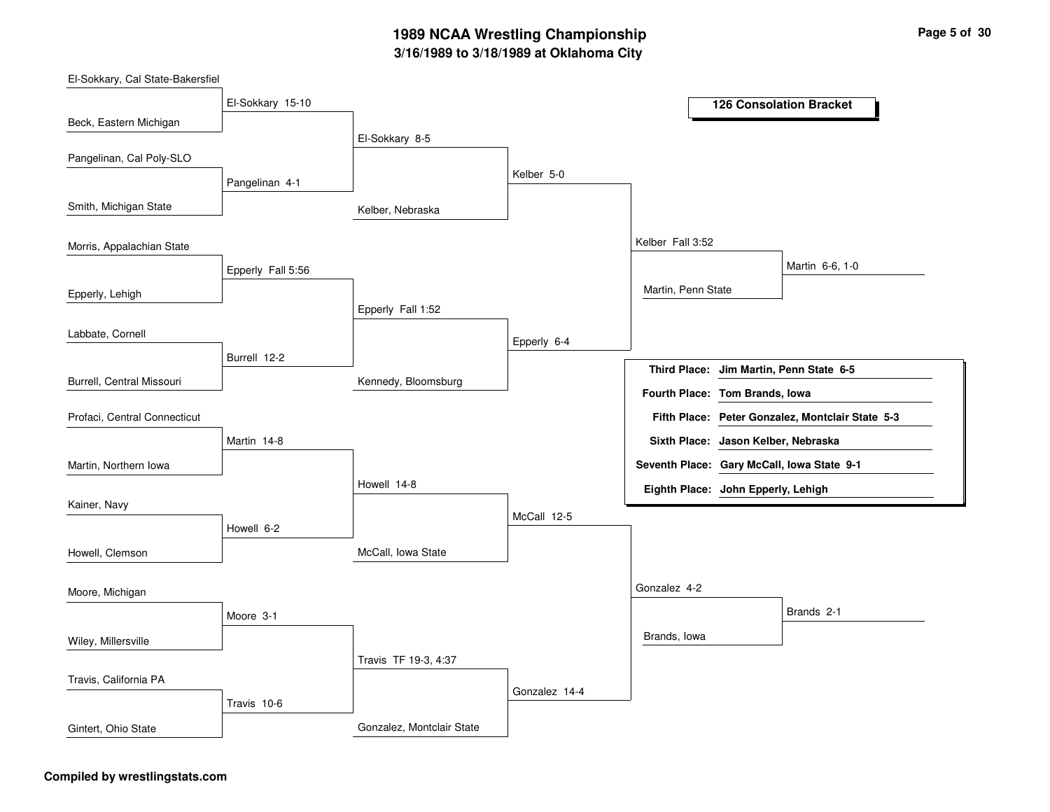## **3/16/1989 to 3/18/1989 at Oklahoma City 1989 NCAA Wrestling Championship Page <sup>5</sup> of <sup>30</sup>**

Kelber, Nebraska Kennedy, Bloomsburg McCall, Iowa State Gonzalez, Montclair State El-Sokkary 8-5 Epperly Fall 1:52 Howell 14-8Travis TF 19-3, 4:37 Kelber 5-0Epperly 6-4 McCall 12-5 Gonzalez 14-4 Kelber Fall 3:52Gonzalez 4-2 Martin, Penn State Brands, Iowa Martin 6-6, 1-0 Brands 2-1 El-Sokkary 15-10 Pangelinan 4-1 Epperly Fall 5:56 Burrell 12-2Martin 14-8 Howell 6-2 Moore 3-1 Travis 10-6 Beck, Eastern Michigan Smith, Michigan State Epperly, Lehigh Burrell, Central Missouri Pangelinan, Cal Poly-SLO Morris, Appalachian State Labbate, Cornell Martin, Northern Iowa Profaci, Central Connecticut Kainer, Navy Howell, Clemson Wiley, Millersville Moore, Michigan Travis, California PA Gintert, Ohio State **126 Consolation Bracket Jim Martin, Penn State 6-5 Third Place: Peter Gonzalez, Montclair State 5-3 Fifth Place: Seventh Place: Gary McCall, Iowa State 9-1 Eighth Place: John Epperly, Lehigh Fourth Place: Tom Brands, Iowa Sixth Place: Jason Kelber, Nebraska**

#### **Compiled by wrestlingstats.com**

El-Sokkary, Cal State-Bakersfiel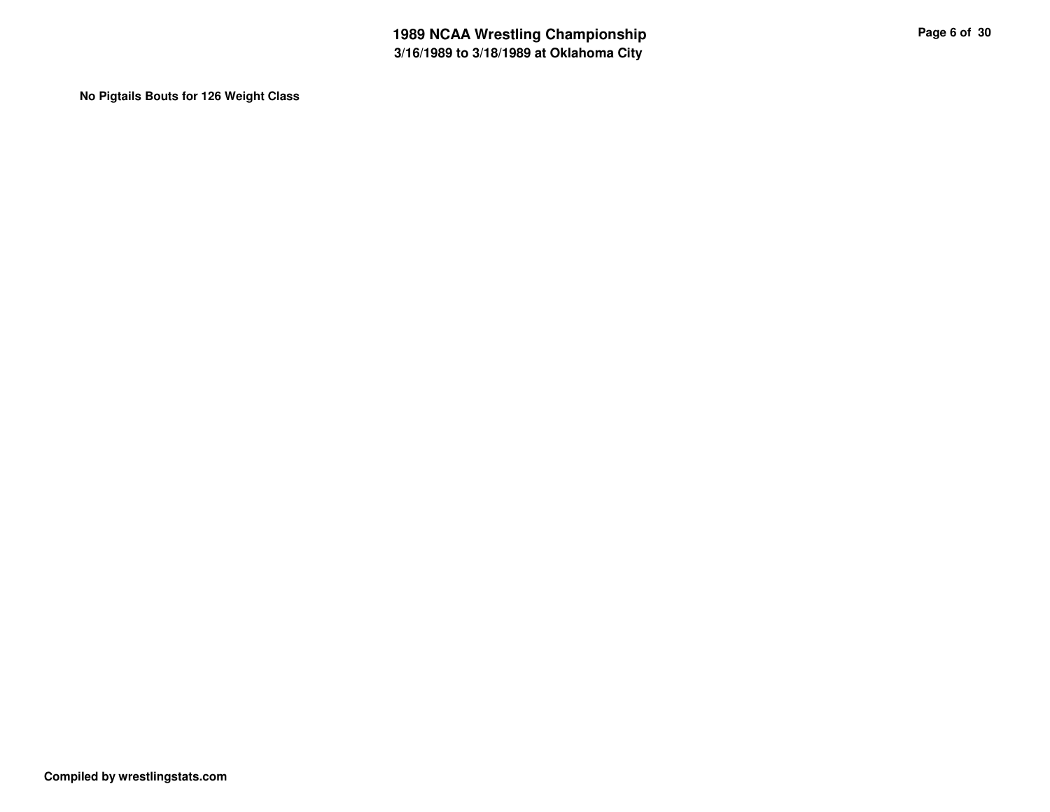**No Pigtails Bouts for 126 Weight Class**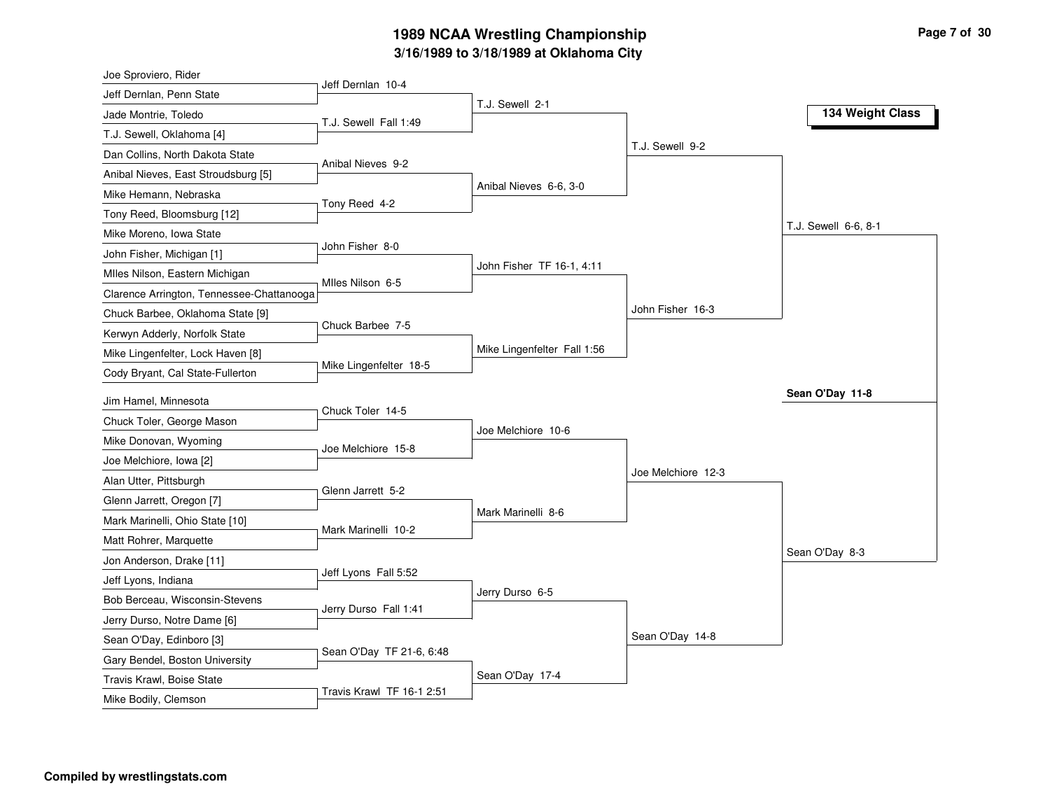# **3/16/1989 to 3/18/1989 at Oklahoma City 1989 NCAA Wrestling Championship Page <sup>7</sup> of <sup>30</sup>**

| Joe Sproviero, Rider                      |                           |                             |                    |                      |
|-------------------------------------------|---------------------------|-----------------------------|--------------------|----------------------|
| Jeff Dernlan, Penn State                  | Jeff Dernlan 10-4         |                             |                    |                      |
| Jade Montrie, Toledo                      | T.J. Sewell Fall 1:49     | T.J. Sewell 2-1             |                    | 134 Weight Class     |
| T.J. Sewell, Oklahoma [4]                 |                           |                             |                    |                      |
| Dan Collins, North Dakota State           |                           |                             | T.J. Sewell 9-2    |                      |
| Anibal Nieves, East Stroudsburg [5]       | Anibal Nieves 9-2         |                             |                    |                      |
| Mike Hemann, Nebraska                     |                           | Anibal Nieves 6-6, 3-0      |                    |                      |
| Tony Reed, Bloomsburg [12]                | Tony Reed 4-2             |                             |                    |                      |
| Mike Moreno, Iowa State                   |                           |                             |                    | T.J. Sewell 6-6, 8-1 |
| John Fisher, Michigan [1]                 | John Fisher 8-0           |                             |                    |                      |
| Mlles Nilson, Eastern Michigan            |                           | John Fisher TF 16-1, 4:11   |                    |                      |
| Clarence Arrington, Tennessee-Chattanooga | Miles Nilson 6-5          |                             |                    |                      |
| Chuck Barbee, Oklahoma State [9]          |                           |                             | John Fisher 16-3   |                      |
| Kerwyn Adderly, Norfolk State             | Chuck Barbee 7-5          |                             |                    |                      |
| Mike Lingenfelter, Lock Haven [8]         |                           | Mike Lingenfelter Fall 1:56 |                    |                      |
| Cody Bryant, Cal State-Fullerton          | Mike Lingenfelter 18-5    |                             |                    |                      |
| Jim Hamel, Minnesota                      |                           |                             |                    | Sean O'Day 11-8      |
| Chuck Toler, George Mason                 | Chuck Toler 14-5          |                             |                    |                      |
| Mike Donovan, Wyoming                     |                           | Joe Melchiore 10-6          |                    |                      |
| Joe Melchiore, Iowa [2]                   | Joe Melchiore 15-8        |                             |                    |                      |
| Alan Utter, Pittsburgh                    |                           |                             | Joe Melchiore 12-3 |                      |
| Glenn Jarrett, Oregon [7]                 | Glenn Jarrett 5-2         |                             |                    |                      |
| Mark Marinelli, Ohio State [10]           |                           | Mark Marinelli 8-6          |                    |                      |
| Matt Rohrer, Marquette                    | Mark Marinelli 10-2       |                             |                    |                      |
| Jon Anderson, Drake [11]                  |                           |                             |                    | Sean O'Day 8-3       |
| Jeff Lyons, Indiana                       | Jeff Lyons Fall 5:52      |                             |                    |                      |
| Bob Berceau, Wisconsin-Stevens            |                           | Jerry Durso 6-5             |                    |                      |
| Jerry Durso, Notre Dame [6]               | Jerry Durso Fall 1:41     |                             |                    |                      |
| Sean O'Day, Edinboro [3]                  |                           |                             | Sean O'Day 14-8    |                      |
| Gary Bendel, Boston University            | Sean O'Day TF 21-6, 6:48  |                             |                    |                      |
| Travis Krawl, Boise State                 |                           | Sean O'Day 17-4             |                    |                      |
| Mike Bodily, Clemson                      | Travis Krawl TF 16-1 2:51 |                             |                    |                      |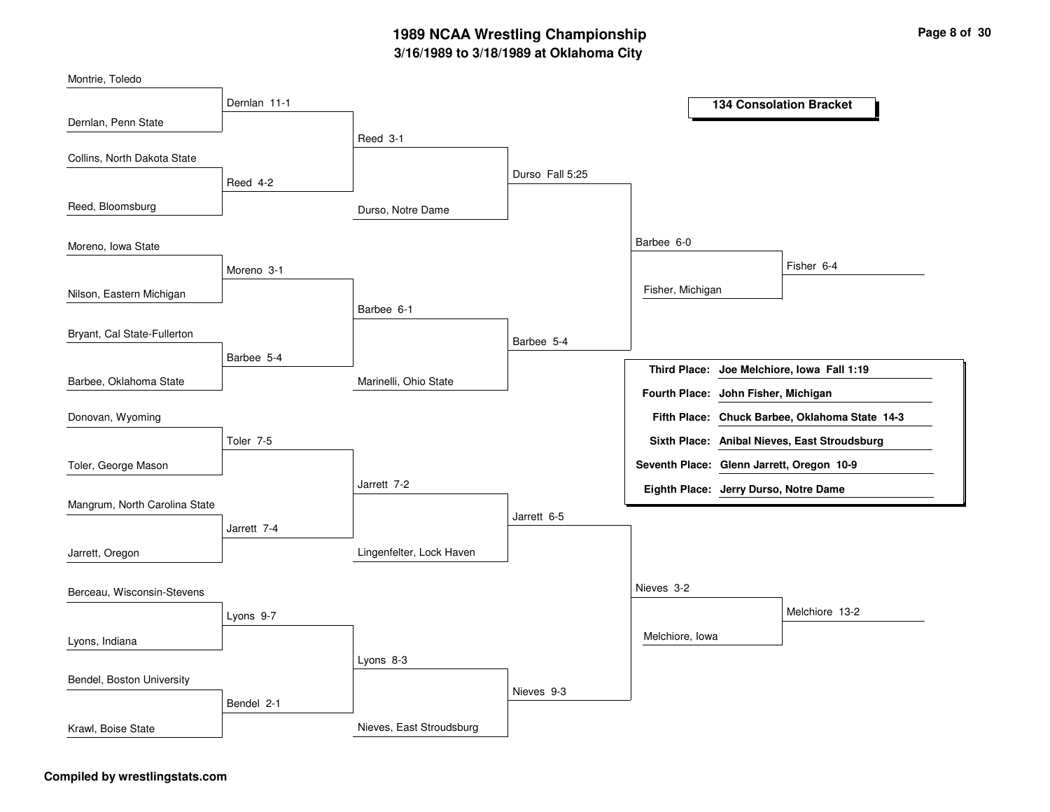# **3/16/1989 to 3/18/1989 at Oklahoma City 1989 NCAA Wrestling Championship Page <sup>8</sup> of <sup>30</sup>**

| Montrie, Toledo               |              |                          |                 |                                           |                                                |
|-------------------------------|--------------|--------------------------|-----------------|-------------------------------------------|------------------------------------------------|
|                               | Dernlan 11-1 |                          |                 |                                           | <b>134 Consolation Bracket</b>                 |
| Dernlan, Penn State           |              |                          |                 |                                           |                                                |
|                               |              | Reed 3-1                 |                 |                                           |                                                |
| Collins, North Dakota State   |              |                          |                 |                                           |                                                |
|                               | Reed 4-2     |                          | Durso Fall 5:25 |                                           |                                                |
| Reed, Bloomsburg              |              | Durso, Notre Dame        |                 |                                           |                                                |
| Moreno, Iowa State            |              |                          |                 | Barbee 6-0                                |                                                |
|                               | Moreno 3-1   |                          |                 |                                           | Fisher 6-4                                     |
| Nilson, Eastern Michigan      |              |                          |                 | Fisher, Michigan                          |                                                |
|                               |              | Barbee 6-1               |                 |                                           |                                                |
| Bryant, Cal State-Fullerton   |              |                          | Barbee 5-4      |                                           |                                                |
|                               | Barbee 5-4   |                          |                 |                                           |                                                |
| Barbee, Oklahoma State        |              | Marinelli, Ohio State    |                 |                                           | Third Place: Joe Melchiore, Iowa Fall 1:19     |
|                               |              |                          |                 | Fourth Place: John Fisher, Michigan       |                                                |
| Donovan, Wyoming              |              |                          |                 |                                           | Fifth Place: Chuck Barbee, Oklahoma State 14-3 |
|                               | Toler 7-5    |                          |                 |                                           | Sixth Place: Anibal Nieves, East Stroudsburg   |
| Toler, George Mason           |              |                          |                 | Seventh Place: Glenn Jarrett, Oregon 10-9 |                                                |
|                               |              | Jarrett 7-2              |                 | Eighth Place: Jerry Durso, Notre Dame     |                                                |
| Mangrum, North Carolina State |              |                          |                 |                                           |                                                |
|                               | Jarrett 7-4  |                          | Jarrett 6-5     |                                           |                                                |
| Jarrett, Oregon               |              | Lingenfelter, Lock Haven |                 |                                           |                                                |
|                               |              |                          |                 |                                           |                                                |
| Berceau, Wisconsin-Stevens    |              |                          |                 | Nieves 3-2                                |                                                |
|                               | Lyons 9-7    |                          |                 |                                           | Melchiore 13-2                                 |
| Lyons, Indiana                |              |                          |                 | Melchiore, Iowa                           |                                                |
|                               |              | Lyons 8-3                |                 |                                           |                                                |
| Bendel, Boston University     |              |                          |                 |                                           |                                                |
|                               | Bendel 2-1   |                          | Nieves 9-3      |                                           |                                                |
| Krawl, Boise State            |              | Nieves, East Stroudsburg |                 |                                           |                                                |

### **Compiled by wrestlingstats.com**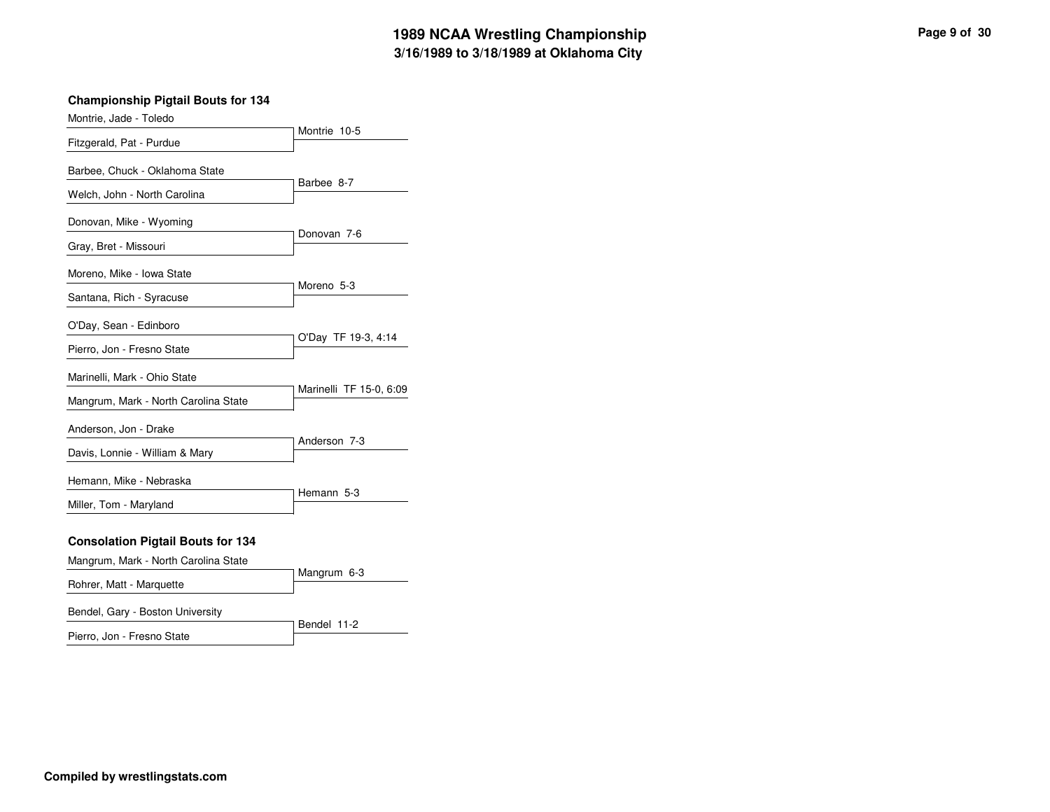| Montrie, Jade - Toledo                                         |                         |
|----------------------------------------------------------------|-------------------------|
| Fitzgerald, Pat - Purdue                                       | Montrie 10-5            |
| Barbee, Chuck - Oklahoma State<br>Welch, John - North Carolina | Barbee 8-7              |
| Donovan, Mike - Wyoming                                        | Donovan 7-6             |
| Gray, Bret - Missouri                                          |                         |
| Moreno, Mike - Iowa State                                      | Moreno 5-3              |
| Santana, Rich - Syracuse                                       |                         |
| O'Day, Sean - Edinboro                                         |                         |
| Pierro, Jon - Fresno State                                     | O'Day TF 19-3, 4:14     |
| Marinelli, Mark - Ohio State                                   | Marinelli TF 15-0, 6:09 |
| Mangrum, Mark - North Carolina State                           |                         |
| Anderson, Jon - Drake                                          | Anderson 7-3            |
| Davis, Lonnie - William & Mary                                 |                         |
| Hemann, Mike - Nebraska                                        |                         |
| Miller, Tom - Maryland                                         | Hemann 5-3              |
| <b>Consolation Pigtail Bouts for 134</b>                       |                         |
| Mangrum, Mark - North Carolina State                           | Mangrum 6-3             |
| Rohrer, Matt - Marquette                                       |                         |
| Bendel, Gary - Boston University                               |                         |

| Pierro, Jon - Fresno State |  |  |
|----------------------------|--|--|

Bendel 11-2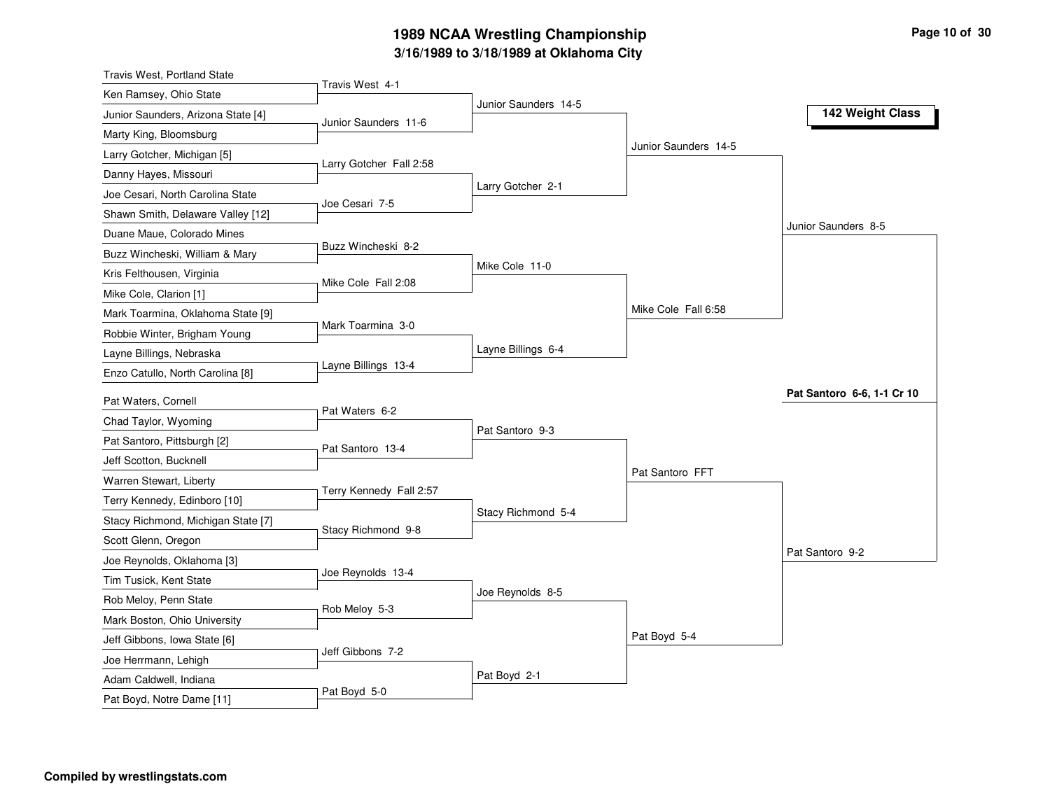# **3/16/1989 to 3/18/1989 at Oklahoma City 1989 NCAA Wrestling Championship Page <sup>10</sup> of <sup>30</sup>**

| <b>Travis West, Portland State</b>          |                         |                      |                      |                            |
|---------------------------------------------|-------------------------|----------------------|----------------------|----------------------------|
| Ken Ramsey, Ohio State                      | Travis West 4-1         |                      |                      |                            |
| Junior Saunders, Arizona State [4]          | Junior Saunders 11-6    | Junior Saunders 14-5 |                      | 142 Weight Class           |
| Marty King, Bloomsburg                      |                         |                      |                      |                            |
| Larry Gotcher, Michigan [5]                 |                         |                      | Junior Saunders 14-5 |                            |
| Danny Hayes, Missouri                       | Larry Gotcher Fall 2:58 |                      |                      |                            |
| Joe Cesari, North Carolina State            |                         | Larry Gotcher 2-1    |                      |                            |
| Shawn Smith, Delaware Valley [12]           | Joe Cesari 7-5          |                      |                      |                            |
| Duane Maue, Colorado Mines                  |                         |                      |                      | Junior Saunders 8-5        |
| Buzz Wincheski, William & Mary              | Buzz Wincheski 8-2      |                      |                      |                            |
| Kris Felthousen, Virginia                   |                         | Mike Cole 11-0       |                      |                            |
| Mike Cole, Clarion [1]                      | Mike Cole Fall 2:08     |                      |                      |                            |
| Mark Toarmina, Oklahoma State [9]           |                         |                      | Mike Cole Fall 6:58  |                            |
| Robbie Winter, Brigham Young                | Mark Toarmina 3-0       |                      |                      |                            |
| Layne Billings, Nebraska                    |                         | Layne Billings 6-4   |                      |                            |
| Enzo Catullo, North Carolina [8]            | Layne Billings 13-4     |                      |                      |                            |
|                                             |                         |                      |                      | Pat Santoro 6-6, 1-1 Cr 10 |
| Pat Waters, Cornell<br>Chad Taylor, Wyoming | Pat Waters 6-2          |                      |                      |                            |
|                                             |                         | Pat Santoro 9-3      |                      |                            |
| Pat Santoro, Pittsburgh [2]                 | Pat Santoro 13-4        |                      |                      |                            |
| Jeff Scotton, Bucknell                      |                         |                      | Pat Santoro FFT      |                            |
| Warren Stewart, Liberty                     | Terry Kennedy Fall 2:57 |                      |                      |                            |
| Terry Kennedy, Edinboro [10]                |                         | Stacy Richmond 5-4   |                      |                            |
| Stacy Richmond, Michigan State [7]          | Stacy Richmond 9-8      |                      |                      |                            |
| Scott Glenn, Oregon                         |                         |                      |                      | Pat Santoro 9-2            |
| Joe Reynolds, Oklahoma [3]                  | Joe Reynolds 13-4       |                      |                      |                            |
| Tim Tusick, Kent State                      |                         | Joe Reynolds 8-5     |                      |                            |
| Rob Meloy, Penn State                       | Rob Meloy 5-3           |                      |                      |                            |
| Mark Boston, Ohio University                |                         |                      | Pat Boyd 5-4         |                            |
| Jeff Gibbons, Iowa State [6]                | Jeff Gibbons 7-2        |                      |                      |                            |
| Joe Herrmann, Lehigh                        |                         |                      |                      |                            |
| Adam Caldwell, Indiana                      | Pat Boyd 5-0            | Pat Boyd 2-1         |                      |                            |
| Pat Boyd, Notre Dame [11]                   |                         |                      |                      |                            |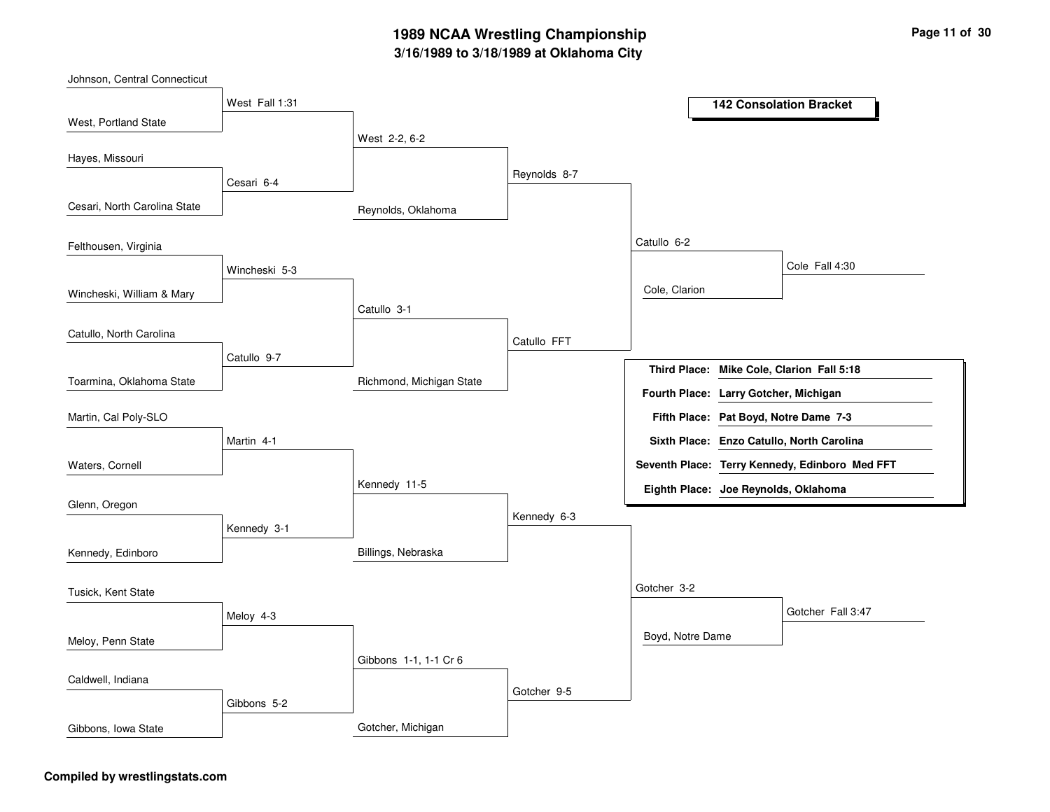# **3/16/1989 to 3/18/1989 at Oklahoma City 1989 NCAA Wrestling Championship Page <sup>11</sup> of <sup>30</sup>**

| Johnson, Central Connecticut |                |                          |              |                                       |                                                |
|------------------------------|----------------|--------------------------|--------------|---------------------------------------|------------------------------------------------|
|                              | West Fall 1:31 |                          |              |                                       | <b>142 Consolation Bracket</b>                 |
| West, Portland State         |                |                          |              |                                       |                                                |
|                              |                | West 2-2, 6-2            |              |                                       |                                                |
| Hayes, Missouri              |                |                          |              |                                       |                                                |
|                              | Cesari 6-4     |                          | Reynolds 8-7 |                                       |                                                |
| Cesari, North Carolina State |                | Reynolds, Oklahoma       |              |                                       |                                                |
| Felthousen, Virginia         |                |                          |              | Catullo 6-2                           |                                                |
|                              | Wincheski 5-3  |                          |              |                                       | Cole Fall 4:30                                 |
| Wincheski, William & Mary    |                |                          |              | Cole, Clarion                         |                                                |
|                              |                | Catullo 3-1              |              |                                       |                                                |
| Catullo, North Carolina      |                |                          |              |                                       |                                                |
|                              | Catullo 9-7    |                          | Catullo FFT  |                                       |                                                |
|                              |                |                          |              |                                       | Third Place: Mike Cole, Clarion Fall 5:18      |
| Toarmina, Oklahoma State     |                | Richmond, Michigan State |              | Fourth Place: Larry Gotcher, Michigan |                                                |
| Martin, Cal Poly-SLO         |                |                          |              |                                       | Fifth Place: Pat Boyd, Notre Dame 7-3          |
|                              | Martin 4-1     |                          |              |                                       | Sixth Place: Enzo Catullo, North Carolina      |
| Waters, Cornell              |                |                          |              |                                       | Seventh Place: Terry Kennedy, Edinboro Med FFT |
|                              |                | Kennedy 11-5             |              | Eighth Place: Joe Reynolds, Oklahoma  |                                                |
| Glenn, Oregon                |                |                          |              |                                       |                                                |
|                              | Kennedy 3-1    |                          | Kennedy 6-3  |                                       |                                                |
| Kennedy, Edinboro            |                | Billings, Nebraska       |              |                                       |                                                |
|                              |                |                          |              |                                       |                                                |
| Tusick, Kent State           |                |                          |              | Gotcher 3-2                           |                                                |
|                              |                |                          |              |                                       | Gotcher Fall 3:47                              |
|                              | Meloy 4-3      |                          |              |                                       |                                                |
| Meloy, Penn State            |                |                          |              | Boyd, Notre Dame                      |                                                |
|                              |                | Gibbons 1-1, 1-1 Cr 6    |              |                                       |                                                |
| Caldwell, Indiana            |                |                          | Gotcher 9-5  |                                       |                                                |
|                              | Gibbons 5-2    |                          |              |                                       |                                                |
| Gibbons, Iowa State          |                | Gotcher, Michigan        |              |                                       |                                                |

### **Compiled by wrestlingstats.com**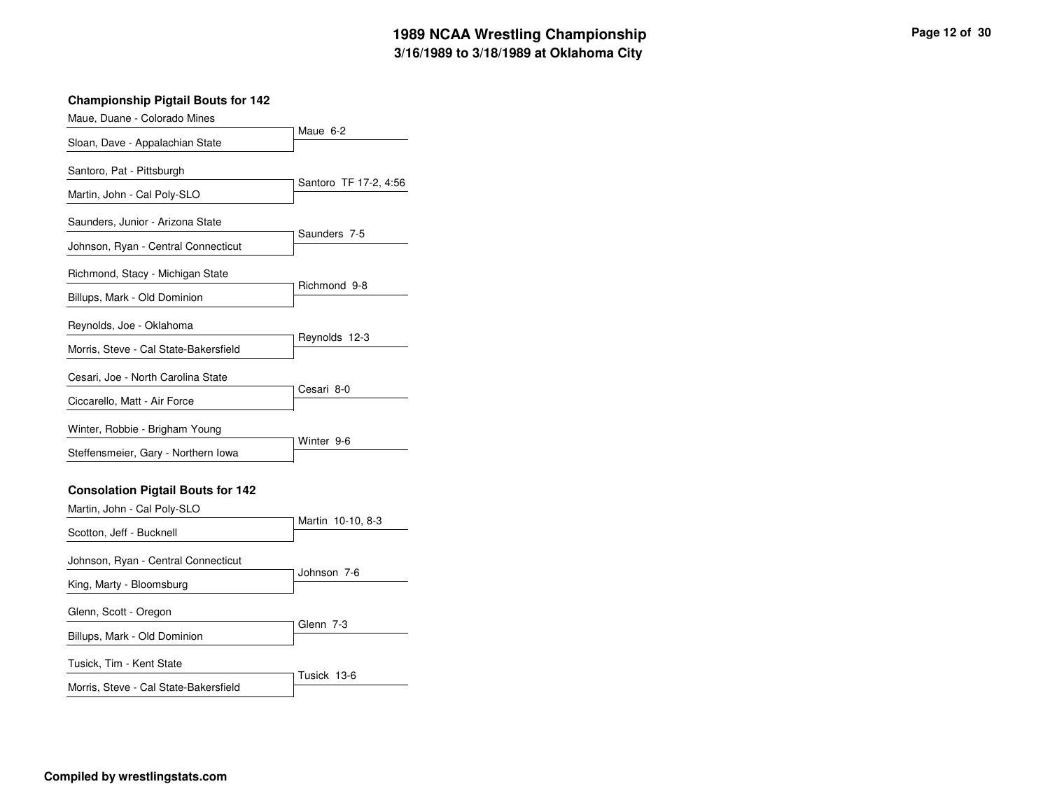| Maue, Duane - Colorado Mines             |                       |
|------------------------------------------|-----------------------|
| Sloan, Dave - Appalachian State          | Maue 6-2              |
| Santoro, Pat - Pittsburgh                |                       |
| Martin, John - Cal Poly-SLO              | Santoro TF 17-2, 4:56 |
| Saunders, Junior - Arizona State         |                       |
| Johnson, Ryan - Central Connecticut      | Saunders 7-5          |
| Richmond, Stacy - Michigan State         |                       |
| Billups, Mark - Old Dominion             | Richmond 9-8          |
| Reynolds, Joe - Oklahoma                 |                       |
| Morris, Steve - Cal State-Bakersfield    | Reynolds 12-3         |
| Cesari, Joe - North Carolina State       |                       |
| Ciccarello, Matt - Air Force             | Cesari 8-0            |
| Winter, Robbie - Brigham Young           |                       |
| Steffensmeier, Gary - Northern Iowa      | Winter 9-6            |
| <b>Consolation Pigtail Bouts for 142</b> |                       |
| Martin, John - Cal Poly-SLO              |                       |
| Scotton, Jeff - Bucknell                 | Martin 10-10, 8-3     |
| Johnson, Ryan - Central Connecticut      |                       |
| King, Marty - Bloomsburg                 | Johnson 7-6           |
| Glenn, Scott - Oregon                    |                       |
| Billups, Mark - Old Dominion             | Glenn 7-3             |
| Tusick, Tim - Kent State                 |                       |
| Morris, Steve - Cal State-Bakersfield    | Tusick 13-6           |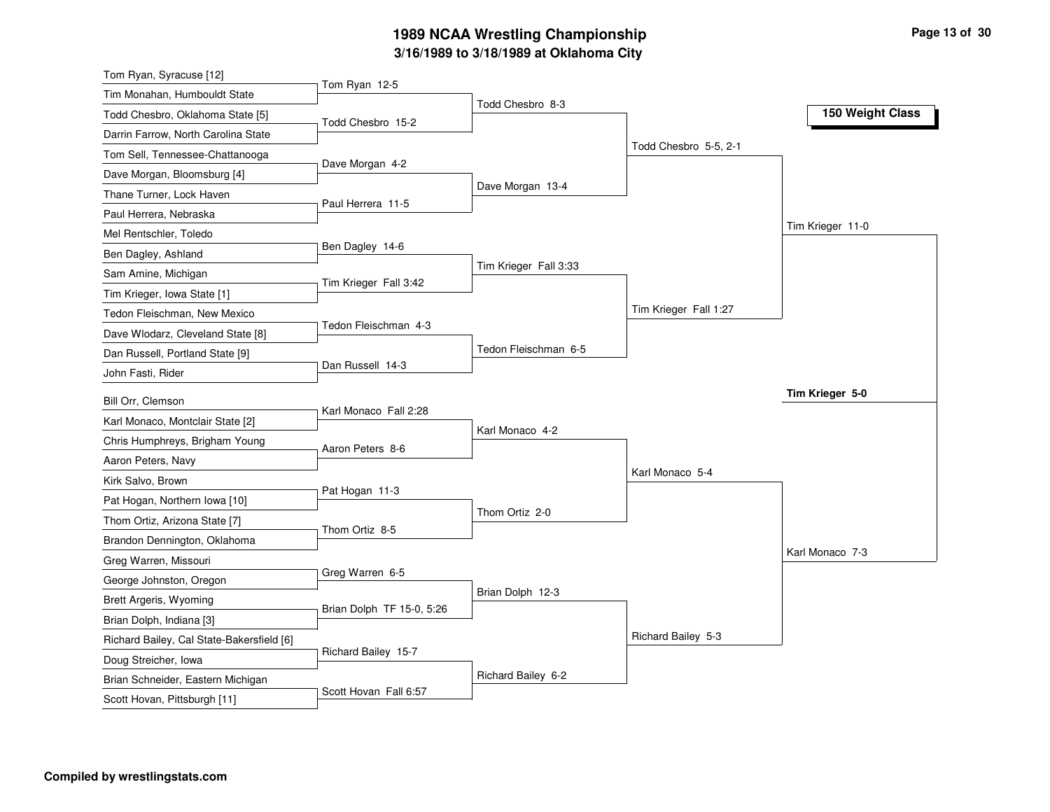# **3/16/1989 to 3/18/1989 at Oklahoma City 1989 NCAA Wrestling Championship Page <sup>13</sup> of <sup>30</sup>**

| Tom Ryan, Syracuse [12]                   |                           |                       |                       |                  |
|-------------------------------------------|---------------------------|-----------------------|-----------------------|------------------|
| Tim Monahan, Humbouldt State              | Tom Ryan 12-5             |                       |                       |                  |
| Todd Chesbro, Oklahoma State [5]          | Todd Chesbro 15-2         | Todd Chesbro 8-3      |                       | 150 Weight Class |
| Darrin Farrow, North Carolina State       |                           |                       |                       |                  |
| Tom Sell, Tennessee-Chattanooga           |                           |                       | Todd Chesbro 5-5, 2-1 |                  |
| Dave Morgan, Bloomsburg [4]               | Dave Morgan 4-2           |                       |                       |                  |
| Thane Turner, Lock Haven                  |                           | Dave Morgan 13-4      |                       |                  |
| Paul Herrera, Nebraska                    | Paul Herrera 11-5         |                       |                       |                  |
| Mel Rentschler, Toledo                    |                           |                       |                       | Tim Krieger 11-0 |
| Ben Dagley, Ashland                       | Ben Dagley 14-6           |                       |                       |                  |
| Sam Amine, Michigan                       |                           | Tim Krieger Fall 3:33 |                       |                  |
| Tim Krieger, Iowa State [1]               | Tim Krieger Fall 3:42     |                       |                       |                  |
| Tedon Fleischman, New Mexico              |                           |                       | Tim Krieger Fall 1:27 |                  |
| Dave Wlodarz, Cleveland State [8]         | Tedon Fleischman 4-3      |                       |                       |                  |
| Dan Russell, Portland State [9]           |                           | Tedon Fleischman 6-5  |                       |                  |
| John Fasti, Rider                         | Dan Russell 14-3          |                       |                       |                  |
| Bill Orr, Clemson                         |                           |                       |                       | Tim Krieger 5-0  |
| Karl Monaco, Montclair State [2]          | Karl Monaco Fall 2:28     |                       |                       |                  |
| Chris Humphreys, Brigham Young            |                           | Karl Monaco 4-2       |                       |                  |
| Aaron Peters, Navy                        | Aaron Peters 8-6          |                       |                       |                  |
| Kirk Salvo, Brown                         |                           |                       | Karl Monaco 5-4       |                  |
| Pat Hogan, Northern Iowa [10]             | Pat Hogan 11-3            |                       |                       |                  |
| Thom Ortiz, Arizona State [7]             |                           | Thom Ortiz 2-0        |                       |                  |
| Brandon Dennington, Oklahoma              | Thom Ortiz 8-5            |                       |                       |                  |
| Greg Warren, Missouri                     |                           |                       |                       | Karl Monaco 7-3  |
| George Johnston, Oregon                   | Greg Warren 6-5           |                       |                       |                  |
| Brett Argeris, Wyoming                    |                           | Brian Dolph 12-3      |                       |                  |
| Brian Dolph, Indiana [3]                  | Brian Dolph TF 15-0, 5:26 |                       |                       |                  |
| Richard Bailey, Cal State-Bakersfield [6] |                           |                       | Richard Bailey 5-3    |                  |
| Doug Streicher, Iowa                      | Richard Bailey 15-7       |                       |                       |                  |
| Brian Schneider, Eastern Michigan         |                           | Richard Bailey 6-2    |                       |                  |
|                                           | Scott Hovan Fall 6:57     |                       |                       |                  |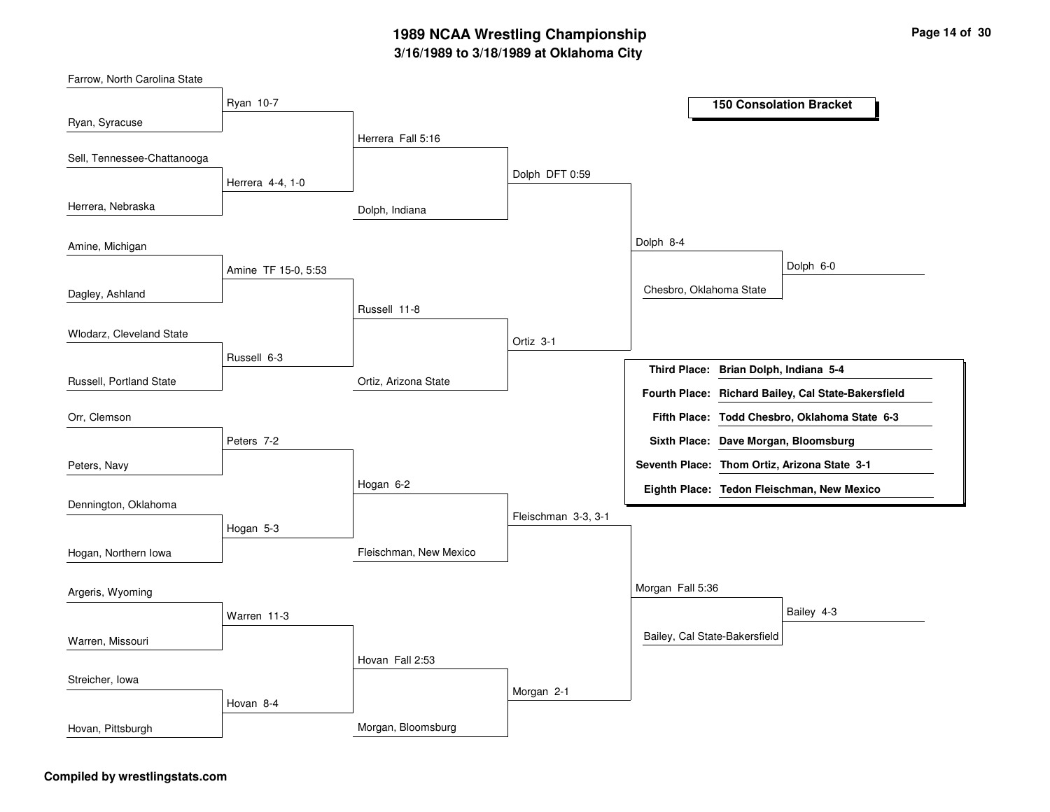# **3/16/1989 to 3/18/1989 at Oklahoma City 1989 NCAA Wrestling Championship Page <sup>14</sup> of <sup>30</sup>**

Dolph, Indiana Ortiz, Arizona State Fleischman, New Mexico Morgan, Bloomsburg Herrera Fall 5:16 Russell 11-8Hogan 6-2 Hovan Fall 2:53 Dolph DFT 0:59 Ortiz 3-1Fleischman 3-3, 3-1 Morgan 2-1 Dolph 8-4 Morgan Fall 5:36 Chesbro, Oklahoma State Bailey, Cal State-Bakersfield Dolph 6-0 Bailey 4-3 Ryan 10-7 Herrera 4-4, 1-0 Amine TF 15-0, 5:53 Russell 6-3Peters 7-2Hogan 5-3 Warren 11-3 Hovan 8-4 Ryan, Syracuse Herrera, Nebraska Dagley, Ashland Russell, Portland State Sell, Tennessee-Chattanooga Amine, Michigan Wlodarz, Cleveland State Peters, Navy Orr, Clemson Dennington, Oklahoma Hogan, Northern Iowa Warren, Missouri Argeris, Wyoming Streicher, Iowa Hovan, Pittsburgh **150 Consolation Bracket Brian Dolph, Indiana 5-4 Third Place: Todd Chesbro, Oklahoma State 6-3 Fifth Place: Seventh Place: Thom Ortiz, Arizona State 3-1 Eighth Place: Tedon Fleischman, New Mexico Fourth Place: Richard Bailey, Cal State-Bakersfield Sixth Place: Dave Morgan, Bloomsburg**

#### **Compiled by wrestlingstats.com**

Farrow, North Carolina State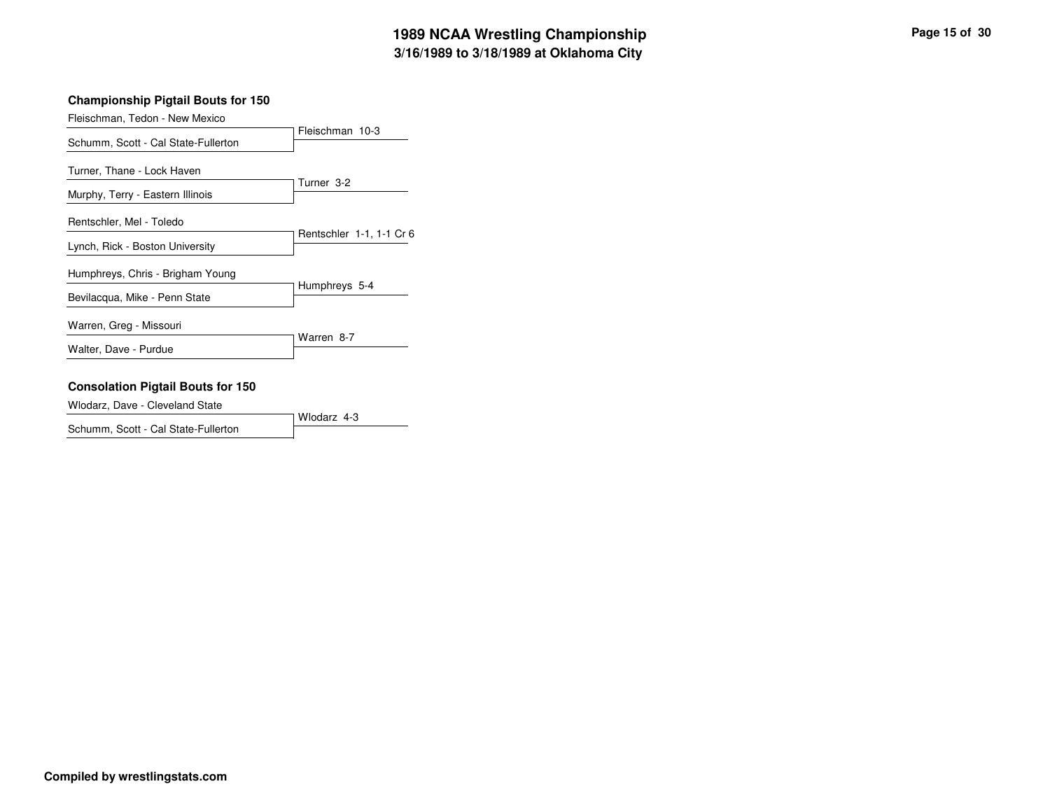Fleischman, Tedon - New Mexico

|                                                                   | Fleischman 10-3          |
|-------------------------------------------------------------------|--------------------------|
| Schumm, Scott - Cal State-Fullerton                               |                          |
| Turner, Thane - Lock Haven<br>Murphy, Terry - Eastern Illinois    | Turner 3-2               |
| Rentschler, Mel - Toledo<br>Lynch, Rick - Boston University       | Rentschler 1-1, 1-1 Cr 6 |
| Humphreys, Chris - Brigham Young<br>Bevilacqua, Mike - Penn State | Humphreys 5-4            |
| Warren, Greg - Missouri<br>Walter, Dave - Purdue                  | Warren 8-7               |

#### **Consolation Pigtail Bouts for 150**

Wlodarz, Dave - Cleveland State

Wlodarz 4-3 Schumm, Scott - Cal State-Fullerton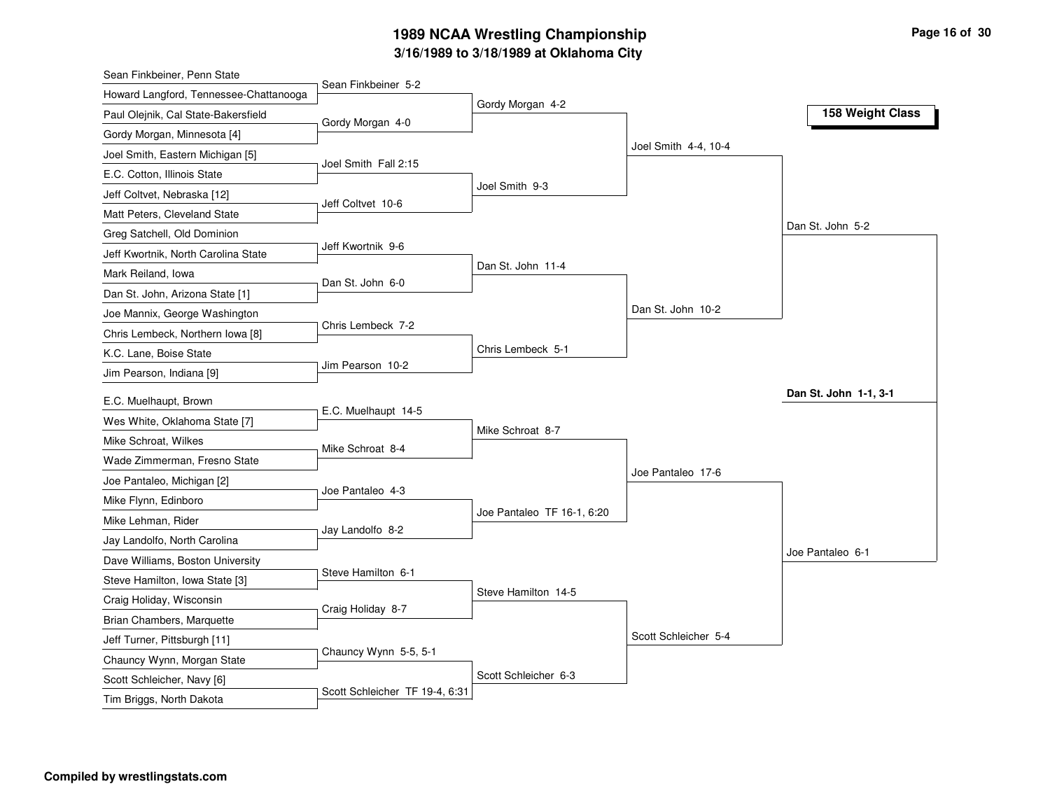# **3/16/1989 to 3/18/1989 at Oklahoma City 1989 NCAA Wrestling Championship Page <sup>16</sup> of <sup>30</sup>**

| Sean Finkbeiner, Penn State                              |                       |                            |                      |                       |
|----------------------------------------------------------|-----------------------|----------------------------|----------------------|-----------------------|
| Howard Langford, Tennessee-Chattanooga                   | Sean Finkbeiner 5-2   | Gordy Morgan 4-2           |                      |                       |
| Paul Olejnik, Cal State-Bakersfield                      | Gordy Morgan 4-0      |                            |                      | 158 Weight Class      |
| Gordy Morgan, Minnesota [4]                              |                       |                            |                      |                       |
| Joel Smith, Eastern Michigan [5]                         |                       |                            | Joel Smith 4-4, 10-4 |                       |
| E.C. Cotton, Illinois State                              | Joel Smith Fall 2:15  |                            |                      |                       |
| Jeff Coltvet, Nebraska [12]                              |                       | Joel Smith 9-3             |                      |                       |
| Matt Peters, Cleveland State                             | Jeff Coltvet 10-6     |                            |                      |                       |
| Greg Satchell, Old Dominion                              |                       |                            |                      | Dan St. John 5-2      |
| Jeff Kwortnik, North Carolina State                      | Jeff Kwortnik 9-6     |                            |                      |                       |
| Mark Reiland, Iowa                                       | Dan St. John 6-0      | Dan St. John 11-4          |                      |                       |
| Dan St. John, Arizona State [1]                          |                       |                            |                      |                       |
| Joe Mannix, George Washington                            |                       |                            | Dan St. John 10-2    |                       |
| Chris Lembeck, Northern Iowa [8]                         | Chris Lembeck 7-2     |                            |                      |                       |
| K.C. Lane, Boise State                                   |                       | Chris Lembeck 5-1          |                      |                       |
| Jim Pearson, Indiana [9]                                 | Jim Pearson 10-2      |                            |                      |                       |
| E.C. Muelhaupt, Brown                                    |                       |                            |                      | Dan St. John 1-1, 3-1 |
| Wes White, Oklahoma State [7]                            | E.C. Muelhaupt 14-5   |                            |                      |                       |
| Mike Schroat, Wilkes                                     |                       | Mike Schroat 8-7           |                      |                       |
| Wade Zimmerman, Fresno State                             | Mike Schroat 8-4      |                            |                      |                       |
| Joe Pantaleo, Michigan [2]                               |                       |                            | Joe Pantaleo 17-6    |                       |
| Mike Flynn, Edinboro                                     | Joe Pantaleo 4-3      |                            |                      |                       |
| Mike Lehman, Rider                                       |                       | Joe Pantaleo TF 16-1, 6:20 |                      |                       |
| Jay Landolfo, North Carolina                             | Jay Landolfo 8-2      |                            |                      |                       |
| Dave Williams, Boston University                         |                       |                            |                      | Joe Pantaleo 6-1      |
| Steve Hamilton, Iowa State [3]                           | Steve Hamilton 6-1    |                            |                      |                       |
| Craig Holiday, Wisconsin                                 |                       | Steve Hamilton 14-5        |                      |                       |
| Brian Chambers, Marquette                                | Craig Holiday 8-7     |                            |                      |                       |
| Jeff Turner, Pittsburgh [11]                             |                       |                            | Scott Schleicher 5-4 |                       |
|                                                          |                       |                            |                      |                       |
|                                                          | Chauncy Wynn 5-5, 5-1 |                            |                      |                       |
| Chauncy Wynn, Morgan State<br>Scott Schleicher, Navy [6] |                       | Scott Schleicher 6-3       |                      |                       |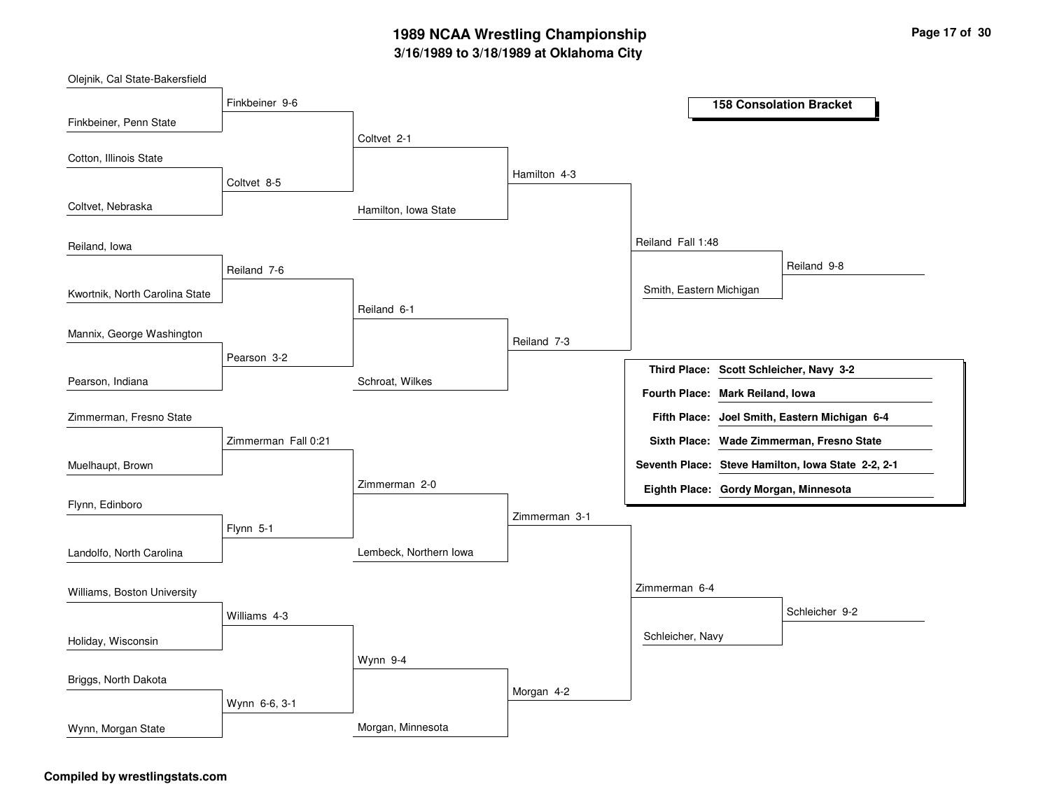# **3/16/1989 to 3/18/1989 at Oklahoma City 1989 NCAA Wrestling Championship Page <sup>17</sup> of <sup>30</sup>**

| Olejnik, Cal State-Bakersfield |                     |                        |               |                                         |                                                    |
|--------------------------------|---------------------|------------------------|---------------|-----------------------------------------|----------------------------------------------------|
|                                | Finkbeiner 9-6      |                        |               |                                         | <b>158 Consolation Bracket</b>                     |
| Finkbeiner, Penn State         |                     |                        |               |                                         |                                                    |
|                                |                     | Coltvet 2-1            |               |                                         |                                                    |
| Cotton, Illinois State         | Coltvet 8-5         |                        | Hamilton 4-3  |                                         |                                                    |
| Coltvet, Nebraska              |                     | Hamilton, Iowa State   |               |                                         |                                                    |
| Reiland, Iowa                  |                     |                        |               | Reiland Fall 1:48                       |                                                    |
|                                | Reiland 7-6         |                        |               |                                         | Reiland 9-8                                        |
| Kwortnik, North Carolina State |                     |                        |               | Smith, Eastern Michigan                 |                                                    |
|                                |                     | Reiland 6-1            |               |                                         |                                                    |
| Mannix, George Washington      |                     |                        | Reiland 7-3   |                                         |                                                    |
|                                | Pearson 3-2         |                        |               | Third Place: Scott Schleicher, Navy 3-2 |                                                    |
| Pearson, Indiana               |                     | Schroat, Wilkes        |               | Fourth Place: Mark Reiland, Iowa        |                                                    |
| Zimmerman, Fresno State        |                     |                        |               |                                         | Fifth Place: Joel Smith, Eastern Michigan 6-4      |
|                                | Zimmerman Fall 0:21 |                        |               |                                         | Sixth Place: Wade Zimmerman, Fresno State          |
| Muelhaupt, Brown               |                     |                        |               |                                         | Seventh Place: Steve Hamilton, Iowa State 2-2, 2-1 |
|                                |                     | Zimmerman 2-0          |               | Eighth Place: Gordy Morgan, Minnesota   |                                                    |
| Flynn, Edinboro                |                     |                        | Zimmerman 3-1 |                                         |                                                    |
|                                | Flynn 5-1           |                        |               |                                         |                                                    |
| Landolfo, North Carolina       |                     | Lembeck, Northern Iowa |               |                                         |                                                    |
| Williams, Boston University    |                     |                        |               | Zimmerman 6-4                           |                                                    |
|                                | Williams 4-3        |                        |               |                                         | Schleicher 9-2                                     |
| Holiday, Wisconsin             |                     |                        |               | Schleicher, Navy                        |                                                    |
|                                |                     | Wynn 9-4               |               |                                         |                                                    |
| Briggs, North Dakota           |                     |                        | Morgan 4-2    |                                         |                                                    |
|                                | Wynn 6-6, 3-1       |                        |               |                                         |                                                    |
| Wynn, Morgan State             |                     | Morgan, Minnesota      |               |                                         |                                                    |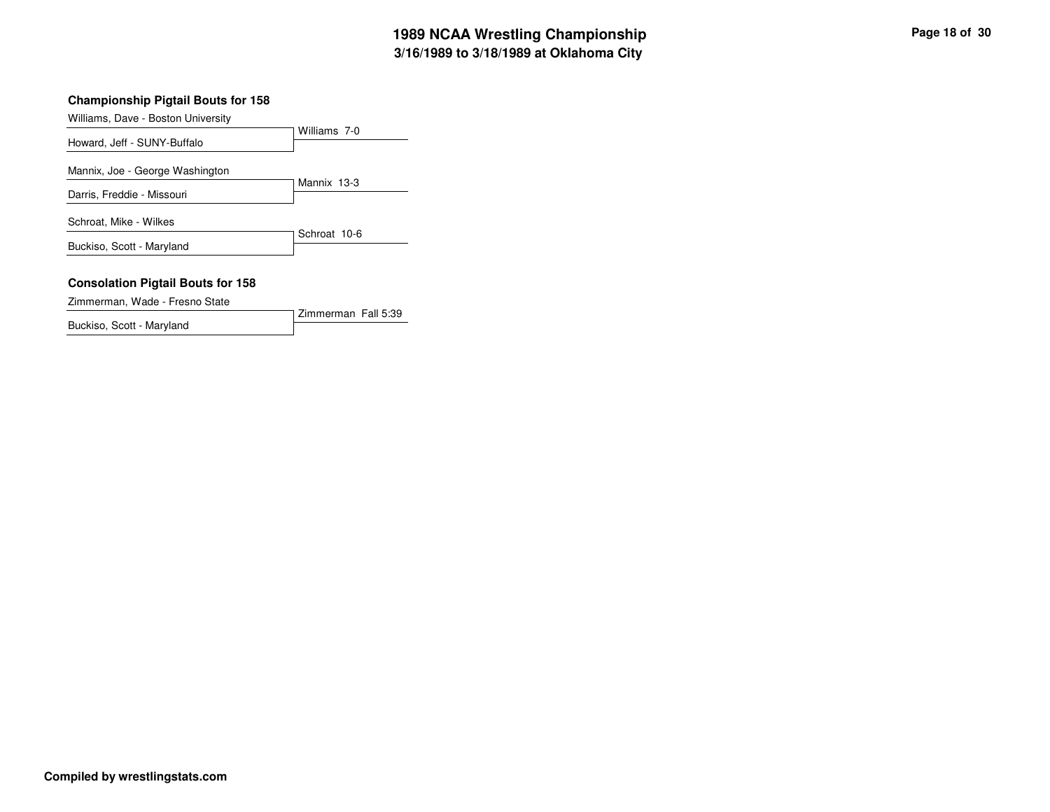| Williams, Dave - Boston University       |              |
|------------------------------------------|--------------|
|                                          | Williams 7-0 |
| Howard, Jeff - SUNY-Buffalo              |              |
| Mannix, Joe - George Washington          |              |
|                                          | Mannix 13-3  |
| Darris, Freddie - Missouri               |              |
| Schroat, Mike - Wilkes                   |              |
| Buckiso, Scott - Maryland                | Schroat 10-6 |
|                                          |              |
| <b>Consolation Pigtail Bouts for 158</b> |              |

Zimmerman Fall 5:39

Zimmerman, Wade - Fresno State

Buckiso, Scott - Maryland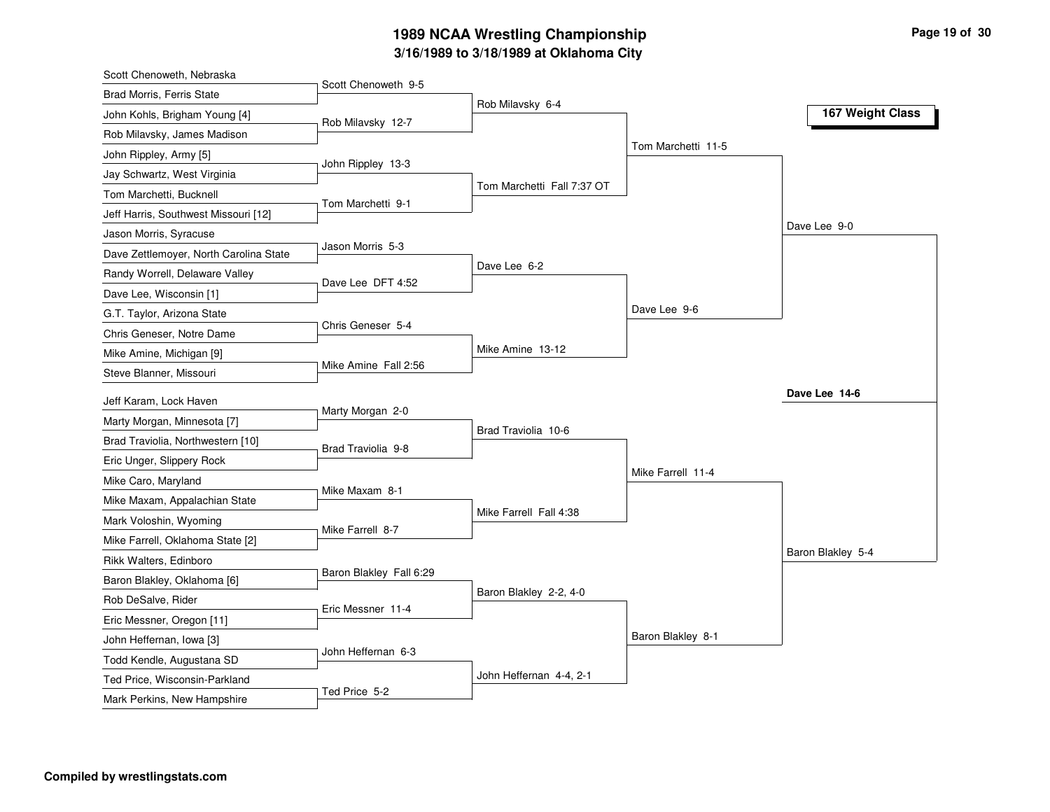# **3/16/1989 to 3/18/1989 at Oklahoma City 1989 NCAA Wrestling Championship Page <sup>19</sup> of <sup>30</sup>**

| Scott Chenoweth 9-5<br><b>Brad Morris, Ferris State</b><br>Rob Milavsky 6-4<br>167 Weight Class<br>John Kohls, Brigham Young [4]<br>Rob Milavsky 12-7<br>Rob Milavsky, James Madison<br>Tom Marchetti 11-5<br>John Rippley, Army [5]<br>John Rippley 13-3<br>Jay Schwartz, West Virginia<br>Tom Marchetti Fall 7:37 OT<br>Tom Marchetti, Bucknell<br>Tom Marchetti 9-1<br>Jeff Harris, Southwest Missouri [12]<br>Dave Lee 9-0<br>Jason Morris, Syracuse<br>Jason Morris 5-3<br>Dave Zettlemoyer, North Carolina State<br>Dave Lee 6-2<br>Randy Worrell, Delaware Valley<br>Dave Lee DFT 4:52<br>Dave Lee, Wisconsin [1] |
|--------------------------------------------------------------------------------------------------------------------------------------------------------------------------------------------------------------------------------------------------------------------------------------------------------------------------------------------------------------------------------------------------------------------------------------------------------------------------------------------------------------------------------------------------------------------------------------------------------------------------|
|                                                                                                                                                                                                                                                                                                                                                                                                                                                                                                                                                                                                                          |
|                                                                                                                                                                                                                                                                                                                                                                                                                                                                                                                                                                                                                          |
|                                                                                                                                                                                                                                                                                                                                                                                                                                                                                                                                                                                                                          |
|                                                                                                                                                                                                                                                                                                                                                                                                                                                                                                                                                                                                                          |
|                                                                                                                                                                                                                                                                                                                                                                                                                                                                                                                                                                                                                          |
|                                                                                                                                                                                                                                                                                                                                                                                                                                                                                                                                                                                                                          |
|                                                                                                                                                                                                                                                                                                                                                                                                                                                                                                                                                                                                                          |
|                                                                                                                                                                                                                                                                                                                                                                                                                                                                                                                                                                                                                          |
|                                                                                                                                                                                                                                                                                                                                                                                                                                                                                                                                                                                                                          |
|                                                                                                                                                                                                                                                                                                                                                                                                                                                                                                                                                                                                                          |
|                                                                                                                                                                                                                                                                                                                                                                                                                                                                                                                                                                                                                          |
| Dave Lee 9-6<br>G.T. Taylor, Arizona State                                                                                                                                                                                                                                                                                                                                                                                                                                                                                                                                                                               |
| Chris Geneser 5-4<br>Chris Geneser, Notre Dame                                                                                                                                                                                                                                                                                                                                                                                                                                                                                                                                                                           |
| Mike Amine 13-12<br>Mike Amine, Michigan [9]                                                                                                                                                                                                                                                                                                                                                                                                                                                                                                                                                                             |
| Mike Amine Fall 2:56<br>Steve Blanner, Missouri                                                                                                                                                                                                                                                                                                                                                                                                                                                                                                                                                                          |
| Dave Lee 14-6<br>Jeff Karam, Lock Haven                                                                                                                                                                                                                                                                                                                                                                                                                                                                                                                                                                                  |
| Marty Morgan 2-0<br>Marty Morgan, Minnesota [7]                                                                                                                                                                                                                                                                                                                                                                                                                                                                                                                                                                          |
| Brad Traviolia 10-6<br>Brad Traviolia, Northwestern [10]                                                                                                                                                                                                                                                                                                                                                                                                                                                                                                                                                                 |
| Brad Traviolia 9-8<br>Eric Unger, Slippery Rock                                                                                                                                                                                                                                                                                                                                                                                                                                                                                                                                                                          |
| Mike Farrell 11-4<br>Mike Caro, Maryland                                                                                                                                                                                                                                                                                                                                                                                                                                                                                                                                                                                 |
| Mike Maxam 8-1<br>Mike Maxam, Appalachian State                                                                                                                                                                                                                                                                                                                                                                                                                                                                                                                                                                          |
| Mike Farrell Fall 4:38                                                                                                                                                                                                                                                                                                                                                                                                                                                                                                                                                                                                   |
| Mark Voloshin, Wyoming<br>Mike Farrell 8-7<br>Mike Farrell, Oklahoma State [2]                                                                                                                                                                                                                                                                                                                                                                                                                                                                                                                                           |
| Baron Blakley 5-4<br>Rikk Walters, Edinboro                                                                                                                                                                                                                                                                                                                                                                                                                                                                                                                                                                              |
| Baron Blakley Fall 6:29                                                                                                                                                                                                                                                                                                                                                                                                                                                                                                                                                                                                  |
| Baron Blakley, Oklahoma [6]<br>Baron Blakley 2-2, 4-0<br>Rob DeSalve, Rider                                                                                                                                                                                                                                                                                                                                                                                                                                                                                                                                              |
| Eric Messner 11-4<br>Eric Messner, Oregon [11]                                                                                                                                                                                                                                                                                                                                                                                                                                                                                                                                                                           |
| Baron Blakley 8-1                                                                                                                                                                                                                                                                                                                                                                                                                                                                                                                                                                                                        |
| John Heffernan, Iowa [3]<br>John Heffernan 6-3                                                                                                                                                                                                                                                                                                                                                                                                                                                                                                                                                                           |
| Todd Kendle, Augustana SD<br>John Heffernan 4-4, 2-1                                                                                                                                                                                                                                                                                                                                                                                                                                                                                                                                                                     |
| Ted Price, Wisconsin-Parkland<br>Ted Price 5-2<br>Mark Perkins, New Hampshire                                                                                                                                                                                                                                                                                                                                                                                                                                                                                                                                            |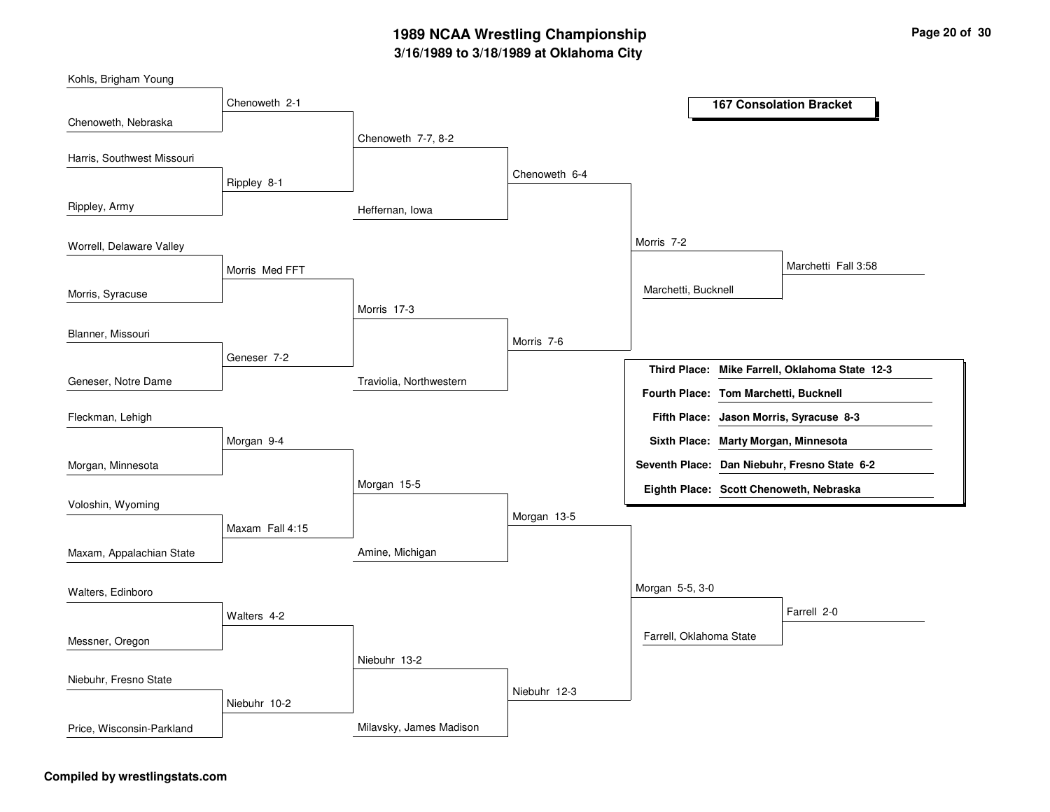## **3/16/1989 to 3/18/1989 at Oklahoma City 1989 NCAA Wrestling Championship Page <sup>20</sup> of <sup>30</sup>**

| Kohls, Brigham Young       |                 |                         |               |                                       |                                                |
|----------------------------|-----------------|-------------------------|---------------|---------------------------------------|------------------------------------------------|
|                            | Chenoweth 2-1   |                         |               |                                       | <b>167 Consolation Bracket</b>                 |
| Chenoweth, Nebraska        |                 |                         |               |                                       |                                                |
| Harris, Southwest Missouri |                 | Chenoweth 7-7, 8-2      |               |                                       |                                                |
|                            |                 |                         | Chenoweth 6-4 |                                       |                                                |
|                            | Rippley 8-1     |                         |               |                                       |                                                |
| Rippley, Army              |                 | Heffernan, Iowa         |               |                                       |                                                |
| Worrell, Delaware Valley   |                 |                         |               | Morris 7-2                            |                                                |
|                            | Morris Med FFT  |                         |               |                                       | Marchetti Fall 3:58                            |
| Morris, Syracuse           |                 |                         |               | Marchetti, Bucknell                   |                                                |
|                            |                 | Morris 17-3             |               |                                       |                                                |
| Blanner, Missouri          |                 |                         |               |                                       |                                                |
|                            | Geneser 7-2     |                         | Morris 7-6    |                                       |                                                |
| Geneser, Notre Dame        |                 | Traviolia, Northwestern |               |                                       | Third Place: Mike Farrell, Oklahoma State 12-3 |
|                            |                 |                         |               | Fourth Place: Tom Marchetti, Bucknell |                                                |
| Fleckman, Lehigh           |                 |                         |               |                                       | Fifth Place: Jason Morris, Syracuse 8-3        |
|                            | Morgan 9-4      |                         |               |                                       | Sixth Place: Marty Morgan, Minnesota           |
| Morgan, Minnesota          |                 |                         |               |                                       | Seventh Place: Dan Niebuhr, Fresno State 6-2   |
|                            |                 | Morgan 15-5             |               |                                       | Eighth Place: Scott Chenoweth, Nebraska        |
| Voloshin, Wyoming          |                 |                         | Morgan 13-5   |                                       |                                                |
|                            | Maxam Fall 4:15 |                         |               |                                       |                                                |
| Maxam, Appalachian State   |                 | Amine, Michigan         |               |                                       |                                                |
|                            |                 |                         |               | Morgan 5-5, 3-0                       |                                                |
| Walters, Edinboro          |                 |                         |               |                                       | Farrell 2-0                                    |
|                            | Walters 4-2     |                         |               |                                       |                                                |
| Messner, Oregon            |                 |                         |               | Farrell, Oklahoma State               |                                                |
| Niebuhr, Fresno State      |                 | Niebuhr 13-2            |               |                                       |                                                |
|                            |                 |                         | Niebuhr 12-3  |                                       |                                                |
|                            | Niebuhr 10-2    |                         |               |                                       |                                                |
| Price, Wisconsin-Parkland  |                 | Milavsky, James Madison |               |                                       |                                                |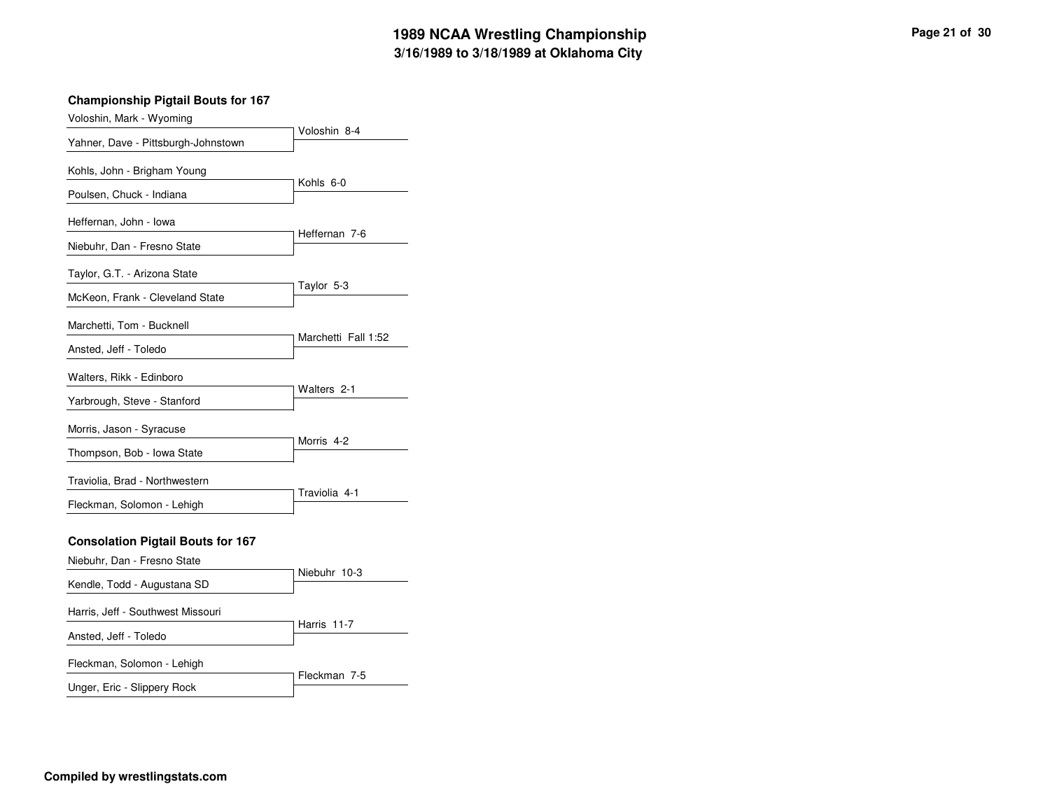| Voloshin, Mark - Wyoming                                                                               |                       |
|--------------------------------------------------------------------------------------------------------|-----------------------|
| Yahner, Dave - Pittsburgh-Johnstown                                                                    | Voloshin 8-4          |
| Kohls, John - Brigham Young<br>Poulsen, Chuck - Indiana                                                | Kohls 6-0             |
| Heffernan, John - Iowa<br>Niebuhr, Dan - Fresno State                                                  | Heffernan 7-6         |
| Taylor, G.T. - Arizona State<br>McKeon, Frank - Cleveland State                                        | Taylor 5-3            |
| Marchetti, Tom - Bucknell<br>Ansted, Jeff - Toledo                                                     | Marchetti Fall 1:52   |
| Walters, Rikk - Edinboro<br>Yarbrough, Steve - Stanford                                                | Walters 2-1           |
| Morris, Jason - Syracuse<br>Thompson, Bob - Iowa State                                                 | Morris <sub>4-2</sub> |
| Traviolia, Brad - Northwestern<br>Fleckman, Solomon - Lehigh                                           | Traviolia 4-1         |
| <b>Consolation Pigtail Bouts for 167</b><br>Niebuhr, Dan - Fresno State<br>Kendle, Todd - Augustana SD | Niebuhr 10-3          |
| Harris, Jeff - Southwest Missouri<br>Ansted, Jeff - Toledo                                             | Harris 11-7           |
| Fleckman, Solomon - Lehigh<br>Unger, Eric - Slippery Rock                                              | Fleckman 7-5          |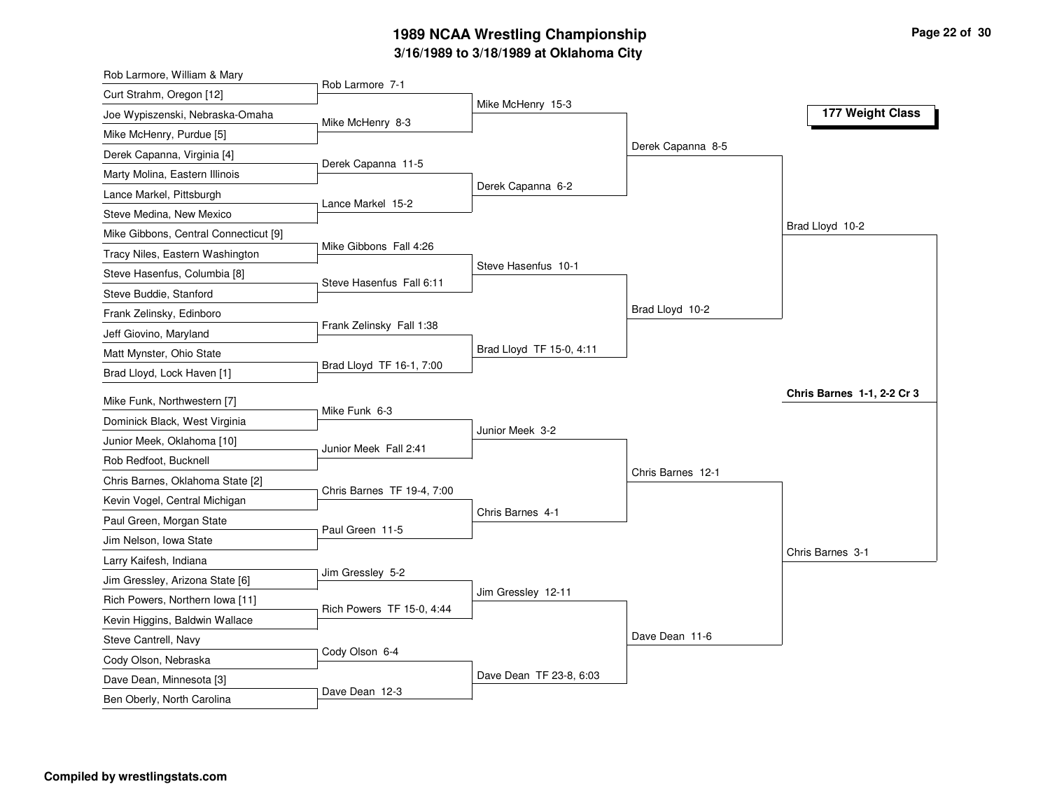# **3/16/1989 to 3/18/1989 at Oklahoma City 1989 NCAA Wrestling Championship Page <sup>22</sup> of <sup>30</sup>**

| Rob Larmore, William & Mary           |                            |                          |                   |                                   |
|---------------------------------------|----------------------------|--------------------------|-------------------|-----------------------------------|
| Curt Strahm, Oregon [12]              | Rob Larmore 7-1            |                          |                   |                                   |
| Joe Wypiszenski, Nebraska-Omaha       | Mike McHenry 8-3           | Mike McHenry 15-3        |                   | 177 Weight Class                  |
| Mike McHenry, Purdue [5]              |                            |                          |                   |                                   |
| Derek Capanna, Virginia [4]           |                            |                          | Derek Capanna 8-5 |                                   |
| Marty Molina, Eastern Illinois        | Derek Capanna 11-5         |                          |                   |                                   |
| Lance Markel, Pittsburgh              |                            | Derek Capanna 6-2        |                   |                                   |
| Steve Medina, New Mexico              | Lance Markel 15-2          |                          |                   |                                   |
| Mike Gibbons, Central Connecticut [9] |                            |                          |                   | Brad Lloyd 10-2                   |
| Tracy Niles, Eastern Washington       | Mike Gibbons Fall 4:26     |                          |                   |                                   |
| Steve Hasenfus, Columbia [8]          |                            | Steve Hasenfus 10-1      |                   |                                   |
| Steve Buddie, Stanford                | Steve Hasenfus Fall 6:11   |                          |                   |                                   |
| Frank Zelinsky, Edinboro              |                            |                          | Brad Lloyd 10-2   |                                   |
| Jeff Giovino, Maryland                | Frank Zelinsky Fall 1:38   |                          |                   |                                   |
| Matt Mynster, Ohio State              |                            | Brad Lloyd TF 15-0, 4:11 |                   |                                   |
| Brad Lloyd, Lock Haven [1]            | Brad Lloyd TF 16-1, 7:00   |                          |                   |                                   |
| Mike Funk, Northwestern [7]           |                            |                          |                   | <b>Chris Barnes 1-1, 2-2 Cr 3</b> |
| Dominick Black, West Virginia         | Mike Funk 6-3              |                          |                   |                                   |
| Junior Meek, Oklahoma [10]            |                            | Junior Meek 3-2          |                   |                                   |
| Rob Redfoot, Bucknell                 | Junior Meek Fall 2:41      |                          |                   |                                   |
| Chris Barnes, Oklahoma State [2]      |                            |                          | Chris Barnes 12-1 |                                   |
| Kevin Vogel, Central Michigan         | Chris Barnes TF 19-4, 7:00 |                          |                   |                                   |
| Paul Green, Morgan State              |                            | Chris Barnes 4-1         |                   |                                   |
| Jim Nelson, Iowa State                | Paul Green 11-5            |                          |                   |                                   |
| Larry Kaifesh, Indiana                |                            |                          |                   | Chris Barnes 3-1                  |
| Jim Gressley, Arizona State [6]       | Jim Gressley 5-2           |                          |                   |                                   |
| Rich Powers, Northern Iowa [11]       |                            | Jim Gressley 12-11       |                   |                                   |
| Kevin Higgins, Baldwin Wallace        | Rich Powers TF 15-0, 4:44  |                          |                   |                                   |
| Steve Cantrell, Navy                  |                            |                          | Dave Dean 11-6    |                                   |
| Cody Olson, Nebraska                  | Cody Olson 6-4             |                          |                   |                                   |
| Dave Dean, Minnesota [3]              |                            |                          |                   |                                   |
|                                       |                            | Dave Dean TF 23-8, 6:03  |                   |                                   |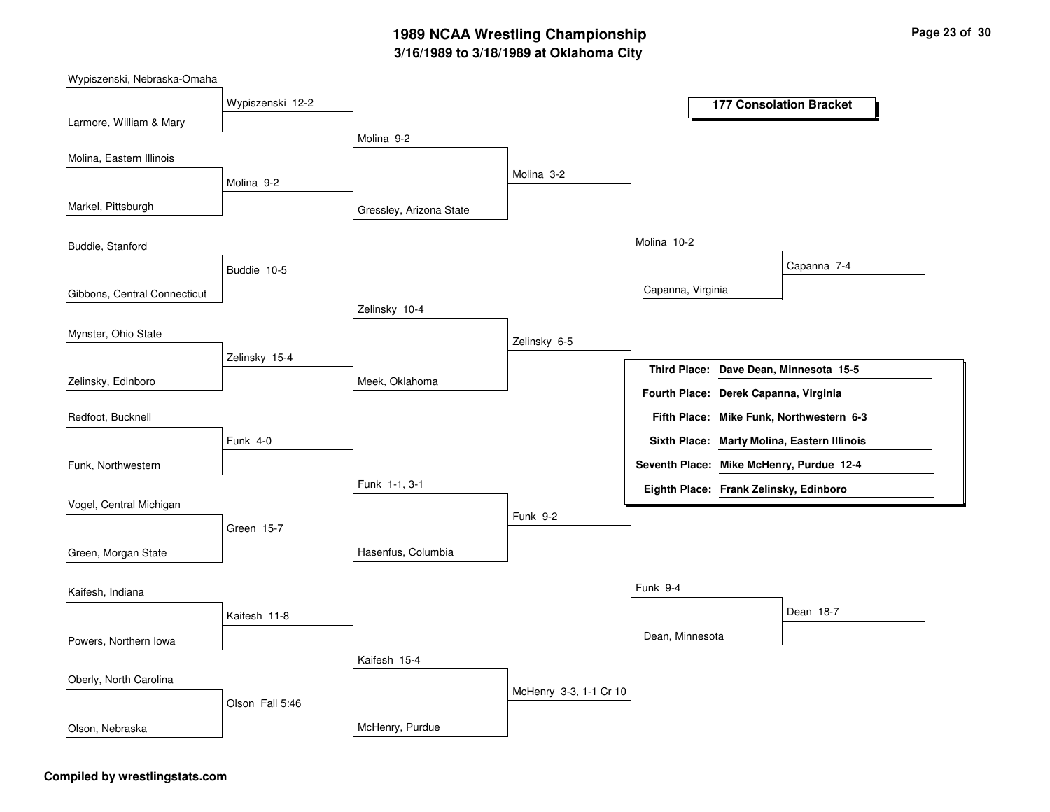# **3/16/1989 to 3/18/1989 at Oklahoma City 1989 NCAA Wrestling Championship Page <sup>23</sup> of <sup>30</sup>**

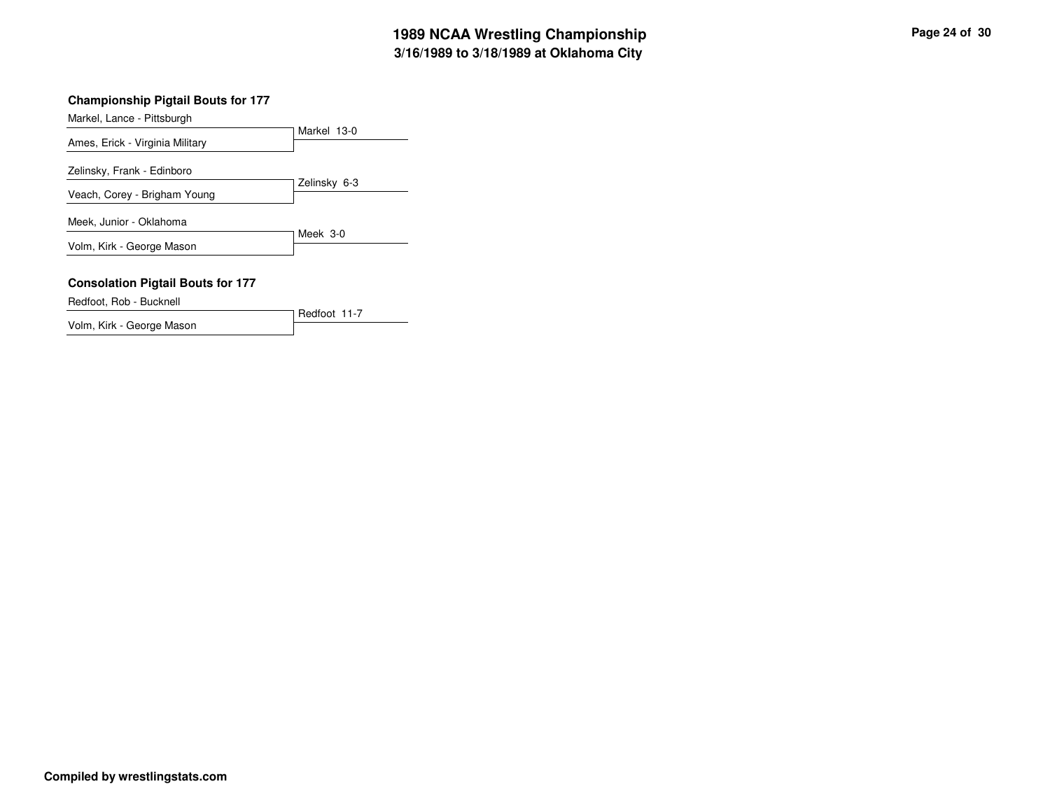| Markel, Lance - Pittsburgh               |              |
|------------------------------------------|--------------|
|                                          | Markel 13-0  |
| Ames, Erick - Virginia Military          |              |
| Zelinsky, Frank - Edinboro               |              |
| Veach, Corey - Brigham Young             | Zelinsky 6-3 |
|                                          |              |
| Meek, Junior - Oklahoma                  |              |
| Volm, Kirk - George Mason                | Meek 3-0     |
|                                          |              |
|                                          |              |
| <b>Consolation Pigtail Bouts for 177</b> |              |
| Redfoot, Rob - Bucknell                  |              |

Redfoot 11-7

Volm, Kirk - George Mason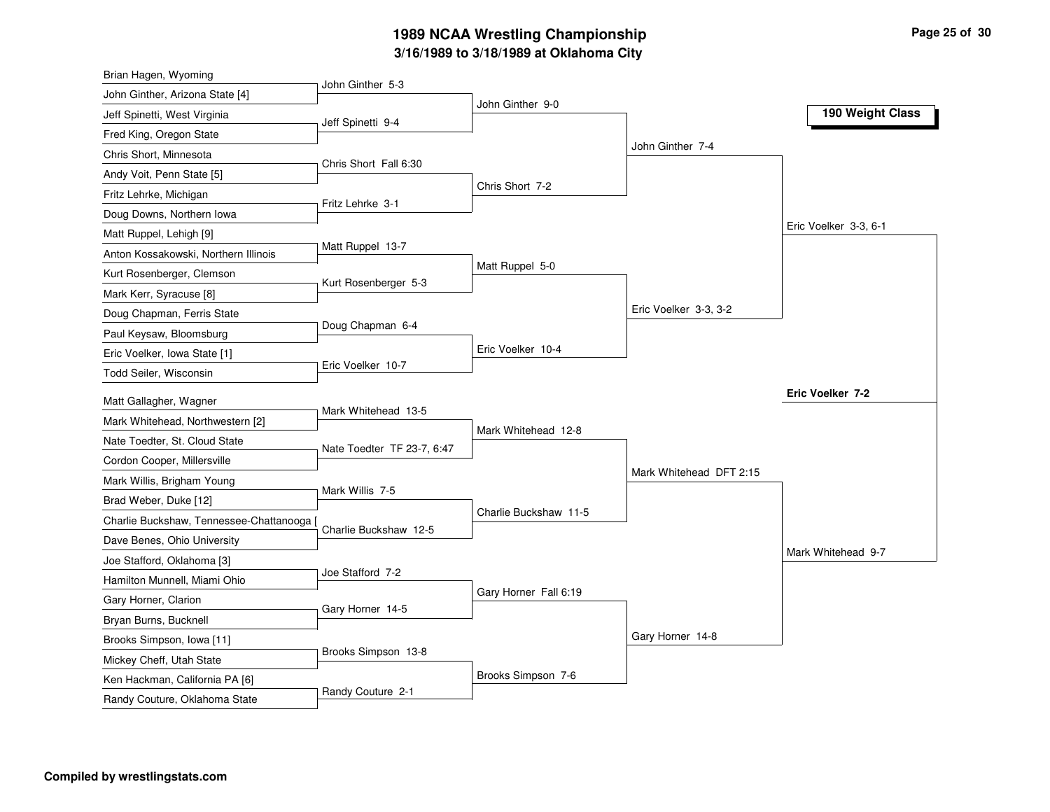# **3/16/1989 to 3/18/1989 at Oklahoma City 1989 NCAA Wrestling Championship Page <sup>25</sup> of <sup>30</sup>**

| Brian Hagen, Wyoming                    |                            |                       |                         |                       |
|-----------------------------------------|----------------------------|-----------------------|-------------------------|-----------------------|
| John Ginther, Arizona State [4]         | John Ginther 5-3           |                       |                         |                       |
| Jeff Spinetti, West Virginia            | Jeff Spinetti 9-4          | John Ginther 9-0      |                         | 190 Weight Class      |
| Fred King, Oregon State                 |                            |                       |                         |                       |
| Chris Short, Minnesota                  |                            |                       | John Ginther 7-4        |                       |
| Andy Voit, Penn State [5]               | Chris Short Fall 6:30      |                       |                         |                       |
| Fritz Lehrke, Michigan                  | Fritz Lehrke 3-1           | Chris Short 7-2       |                         |                       |
| Doug Downs, Northern Iowa               |                            |                       |                         |                       |
| Matt Ruppel, Lehigh [9]                 |                            |                       |                         | Eric Voelker 3-3, 6-1 |
| Anton Kossakowski, Northern Illinois    | Matt Ruppel 13-7           |                       |                         |                       |
| Kurt Rosenberger, Clemson               | Kurt Rosenberger 5-3       | Matt Ruppel 5-0       |                         |                       |
| Mark Kerr, Syracuse [8]                 |                            |                       |                         |                       |
| Doug Chapman, Ferris State              |                            |                       | Eric Voelker 3-3, 3-2   |                       |
| Paul Keysaw, Bloomsburg                 | Doug Chapman 6-4           |                       |                         |                       |
| Eric Voelker, Iowa State [1]            |                            | Eric Voelker 10-4     |                         |                       |
| Todd Seiler, Wisconsin                  | Eric Voelker 10-7          |                       |                         |                       |
| Matt Gallagher, Wagner                  |                            |                       |                         | Eric Voelker 7-2      |
| Mark Whitehead, Northwestern [2]        | Mark Whitehead 13-5        |                       |                         |                       |
| Nate Toedter, St. Cloud State           |                            | Mark Whitehead 12-8   |                         |                       |
| Cordon Cooper, Millersville             | Nate Toedter TF 23-7, 6:47 |                       |                         |                       |
| Mark Willis, Brigham Young              |                            |                       | Mark Whitehead DFT 2:15 |                       |
| Brad Weber, Duke [12]                   | Mark Willis 7-5            |                       |                         |                       |
| Charlie Buckshaw, Tennessee-Chattanooga |                            | Charlie Buckshaw 11-5 |                         |                       |
| Dave Benes, Ohio University             | Charlie Buckshaw 12-5      |                       |                         |                       |
| Joe Stafford, Oklahoma [3]              |                            |                       |                         | Mark Whitehead 9-7    |
| Hamilton Munnell, Miami Ohio            | Joe Stafford 7-2           |                       |                         |                       |
| Gary Horner, Clarion                    |                            | Gary Horner Fall 6:19 |                         |                       |
| Bryan Burns, Bucknell                   | Gary Horner 14-5           |                       |                         |                       |
| Brooks Simpson, Iowa [11]               |                            |                       | Gary Horner 14-8        |                       |
| Mickey Cheff, Utah State                | Brooks Simpson 13-8        |                       |                         |                       |
| Ken Hackman, California PA [6]          |                            | Brooks Simpson 7-6    |                         |                       |
| Randy Couture, Oklahoma State           | Randy Couture 2-1          |                       |                         |                       |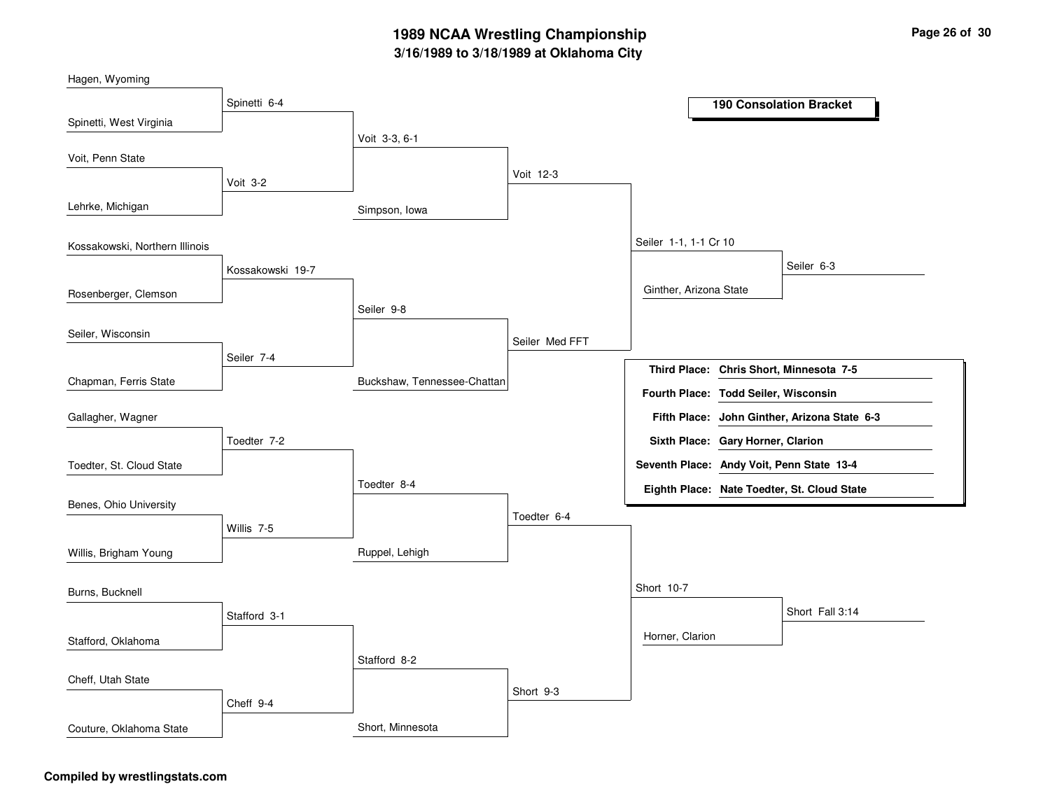# **3/16/1989 to 3/18/1989 at Oklahoma City 1989 NCAA Wrestling Championship Page <sup>26</sup> of <sup>30</sup>**

| Hagen, Wyoming                 |                  |                             |                |                                           |                                              |
|--------------------------------|------------------|-----------------------------|----------------|-------------------------------------------|----------------------------------------------|
|                                | Spinetti 6-4     |                             |                |                                           | <b>190 Consolation Bracket</b>               |
| Spinetti, West Virginia        |                  |                             |                |                                           |                                              |
|                                |                  | Voit 3-3, 6-1               |                |                                           |                                              |
| Voit, Penn State               |                  |                             |                |                                           |                                              |
|                                | Voit 3-2         |                             | Voit 12-3      |                                           |                                              |
| Lehrke, Michigan               |                  | Simpson, Iowa               |                |                                           |                                              |
| Kossakowski, Northern Illinois |                  |                             |                | Seiler 1-1, 1-1 Cr 10                     |                                              |
|                                | Kossakowski 19-7 |                             |                |                                           | Seiler 6-3                                   |
| Rosenberger, Clemson           |                  |                             |                | Ginther, Arizona State                    |                                              |
|                                |                  | Seiler 9-8                  |                |                                           |                                              |
| Seiler, Wisconsin              |                  |                             | Seiler Med FFT |                                           |                                              |
|                                | Seiler 7-4       |                             |                |                                           | Third Place: Chris Short, Minnesota 7-5      |
| Chapman, Ferris State          |                  | Buckshaw, Tennessee-Chattan |                | Fourth Place: Todd Seiler, Wisconsin      |                                              |
| Gallagher, Wagner              |                  |                             |                |                                           | Fifth Place: John Ginther, Arizona State 6-3 |
|                                | Toedter 7-2      |                             |                | Sixth Place: Gary Horner, Clarion         |                                              |
| Toedter, St. Cloud State       |                  |                             |                | Seventh Place: Andy Voit, Penn State 13-4 |                                              |
|                                |                  | Toedter 8-4                 |                |                                           | Eighth Place: Nate Toedter, St. Cloud State  |
| Benes, Ohio University         |                  |                             | Toedter 6-4    |                                           |                                              |
|                                | Willis 7-5       |                             |                |                                           |                                              |
| Willis, Brigham Young          |                  | Ruppel, Lehigh              |                |                                           |                                              |
| Burns, Bucknell                |                  |                             |                | Short 10-7                                |                                              |
|                                | Stafford 3-1     |                             |                |                                           | Short Fall 3:14                              |
| Stafford, Oklahoma             |                  |                             |                | Horner, Clarion                           |                                              |
|                                |                  | Stafford 8-2                |                |                                           |                                              |
| Cheff, Utah State              |                  |                             |                |                                           |                                              |
|                                | Cheff 9-4        |                             | Short 9-3      |                                           |                                              |
| Couture, Oklahoma State        |                  | Short, Minnesota            |                |                                           |                                              |

### **Compiled by wrestlingstats.com**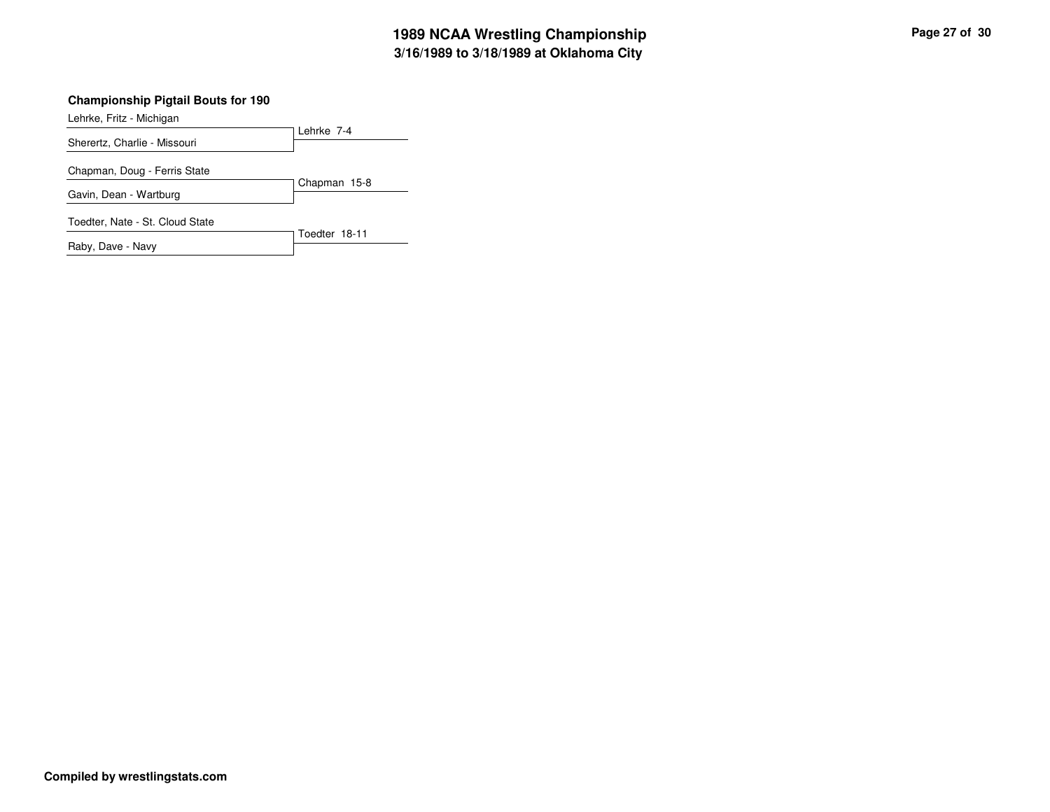Lehrke, Fritz - Michigan

| Sherertz, Charlie - Missouri    | Lehrke 7-4    |
|---------------------------------|---------------|
| Chapman, Doug - Ferris State    |               |
| Gavin, Dean - Wartburg          | Chapman 15-8  |
| Toedter, Nate - St. Cloud State |               |
| Raby, Dave - Navy               | Toedter 18-11 |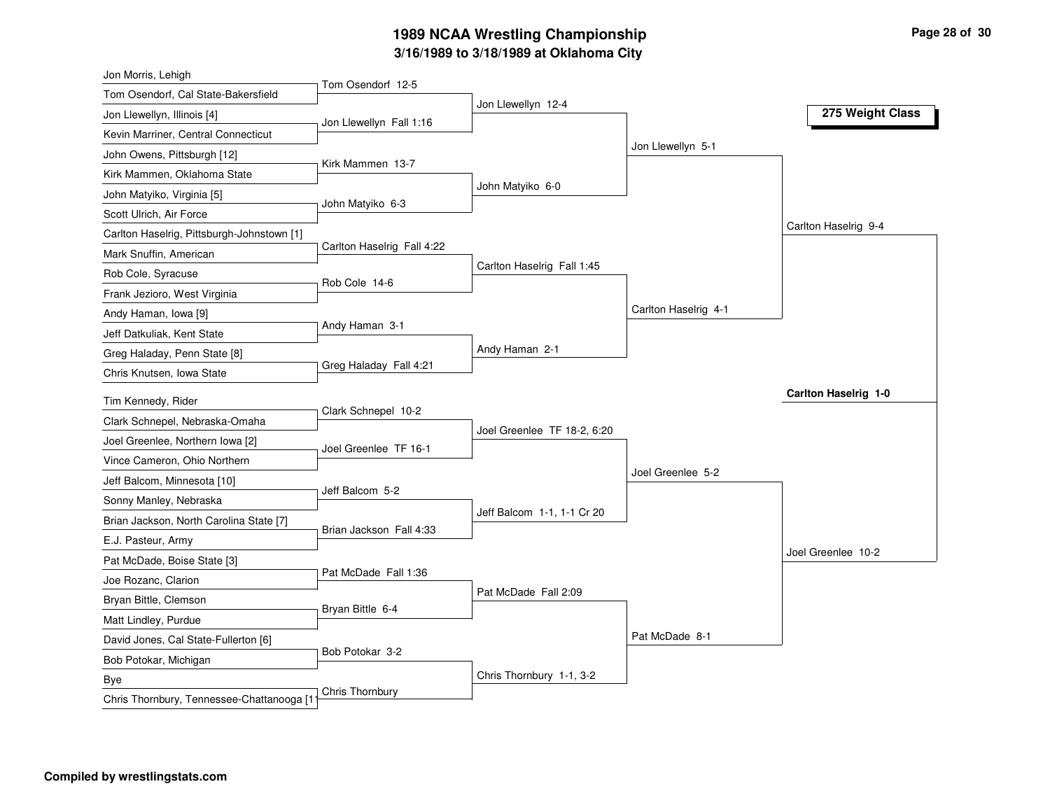# **3/16/1989 to 3/18/1989 at Oklahoma City 1989 NCAA Wrestling Championship Page <sup>28</sup> of <sup>30</sup>**

| Jon Morris, Lehigh                         |                            |                             |                      |                      |
|--------------------------------------------|----------------------------|-----------------------------|----------------------|----------------------|
| Tom Osendorf, Cal State-Bakersfield        | Tom Osendorf 12-5          | Jon Llewellyn 12-4          |                      |                      |
| Jon Llewellyn, Illinois [4]                | Jon Llewellyn Fall 1:16    |                             |                      | 275 Weight Class     |
| Kevin Marriner, Central Connecticut        |                            |                             |                      |                      |
| John Owens, Pittsburgh [12]                | Kirk Mammen 13-7           |                             | Jon Llewellyn 5-1    |                      |
| Kirk Mammen, Oklahoma State                |                            |                             |                      |                      |
| John Matyiko, Virginia [5]                 |                            | John Matyiko 6-0            |                      |                      |
| Scott Ulrich, Air Force                    | John Matyiko 6-3           |                             |                      |                      |
| Carlton Haselrig, Pittsburgh-Johnstown [1] |                            |                             |                      | Carlton Haselrig 9-4 |
| Mark Snuffin, American                     | Carlton Haselrig Fall 4:22 |                             |                      |                      |
| Rob Cole, Syracuse                         | Rob Cole 14-6              | Carlton Haselrig Fall 1:45  |                      |                      |
| Frank Jezioro, West Virginia               |                            |                             |                      |                      |
| Andy Haman, Iowa [9]                       |                            |                             | Carlton Haselrig 4-1 |                      |
| Jeff Datkuliak, Kent State                 | Andy Haman 3-1             |                             |                      |                      |
| Greg Haladay, Penn State [8]               |                            | Andy Haman 2-1              |                      |                      |
| Chris Knutsen, Iowa State                  | Greg Haladay Fall 4:21     |                             |                      |                      |
| Tim Kennedy, Rider                         |                            |                             |                      | Carlton Haselrig 1-0 |
| Clark Schnepel, Nebraska-Omaha             | Clark Schnepel 10-2        |                             |                      |                      |
| Joel Greenlee, Northern Iowa [2]           |                            | Joel Greenlee TF 18-2, 6:20 |                      |                      |
| Vince Cameron, Ohio Northern               | Joel Greenlee TF 16-1      |                             |                      |                      |
| Jeff Balcom, Minnesota [10]                |                            |                             | Joel Greenlee 5-2    |                      |
| Sonny Manley, Nebraska                     | Jeff Balcom 5-2            |                             |                      |                      |
| Brian Jackson, North Carolina State [7]    |                            | Jeff Balcom 1-1, 1-1 Cr 20  |                      |                      |
| E.J. Pasteur, Army                         | Brian Jackson Fall 4:33    |                             |                      |                      |
| Pat McDade, Boise State [3]                |                            |                             |                      | Joel Greenlee 10-2   |
| Joe Rozanc, Clarion                        | Pat McDade Fall 1:36       |                             |                      |                      |
| Bryan Bittle, Clemson                      |                            | Pat McDade Fall 2:09        |                      |                      |
| Matt Lindley, Purdue                       | Bryan Bittle 6-4           |                             |                      |                      |
| David Jones, Cal State-Fullerton [6]       |                            |                             | Pat McDade 8-1       |                      |
| Bob Potokar, Michigan                      | Bob Potokar 3-2            |                             |                      |                      |
|                                            |                            |                             |                      |                      |
| Bye                                        |                            | Chris Thornbury 1-1, 3-2    |                      |                      |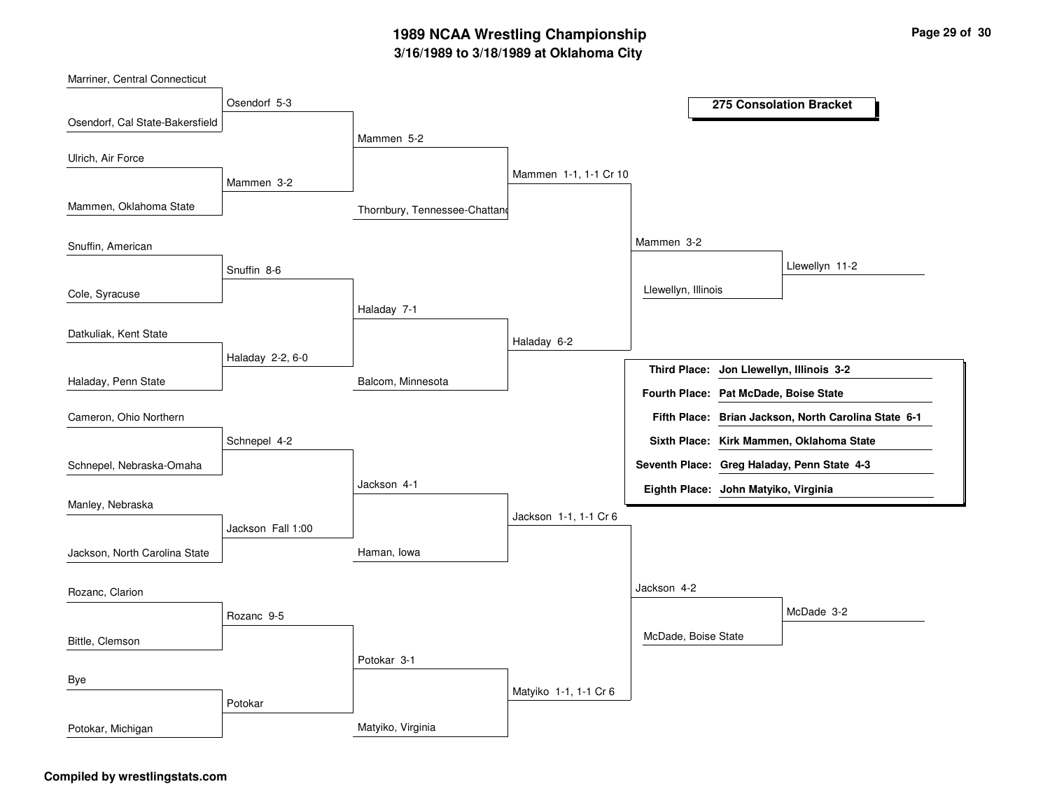# **3/16/1989 to 3/18/1989 at Oklahoma City 1989 NCAA Wrestling Championship Page <sup>29</sup> of <sup>30</sup>**

| Marriner, Central Connecticut   |                   |                               |                       |                                          |                                                      |
|---------------------------------|-------------------|-------------------------------|-----------------------|------------------------------------------|------------------------------------------------------|
|                                 | Osendorf 5-3      | 275 Consolation Bracket       |                       |                                          |                                                      |
| Osendorf, Cal State-Bakersfield |                   |                               |                       |                                          |                                                      |
|                                 |                   | Mammen 5-2                    |                       |                                          |                                                      |
| Ulrich, Air Force               |                   |                               | Mammen 1-1, 1-1 Cr 10 |                                          |                                                      |
|                                 | Mammen 3-2        |                               |                       |                                          |                                                      |
| Mammen, Oklahoma State          |                   | Thornbury, Tennessee-Chattand |                       |                                          |                                                      |
| Snuffin, American               |                   |                               |                       | Mammen 3-2                               |                                                      |
|                                 | Snuffin 8-6       |                               |                       |                                          | Llewellyn 11-2                                       |
| Cole, Syracuse                  |                   |                               |                       | Llewellyn, Illinois                      |                                                      |
|                                 |                   | Haladay 7-1                   |                       |                                          |                                                      |
| Datkuliak, Kent State           |                   |                               | Haladay 6-2           |                                          |                                                      |
|                                 | Haladay 2-2, 6-0  |                               |                       | Third Place: Jon Llewellyn, Illinois 3-2 |                                                      |
| Haladay, Penn State             |                   | Balcom, Minnesota             |                       | Fourth Place: Pat McDade, Boise State    |                                                      |
| Cameron, Ohio Northern          |                   |                               |                       |                                          | Fifth Place: Brian Jackson, North Carolina State 6-1 |
|                                 | Schnepel 4-2      |                               |                       |                                          | Sixth Place: Kirk Mammen, Oklahoma State             |
| Schnepel, Nebraska-Omaha        |                   |                               |                       |                                          | Seventh Place: Greg Haladay, Penn State 4-3          |
|                                 |                   | Jackson 4-1                   |                       | Eighth Place: John Matyiko, Virginia     |                                                      |
| Manley, Nebraska                |                   |                               | Jackson 1-1, 1-1 Cr 6 |                                          |                                                      |
|                                 | Jackson Fall 1:00 |                               |                       |                                          |                                                      |
| Jackson, North Carolina State   |                   | Haman, Iowa                   |                       |                                          |                                                      |
| Rozanc, Clarion                 |                   |                               |                       | Jackson 4-2                              |                                                      |
|                                 | Rozanc 9-5        |                               |                       |                                          | McDade 3-2                                           |
|                                 |                   |                               |                       | McDade, Boise State                      |                                                      |
| Bittle, Clemson                 |                   | Potokar 3-1                   |                       |                                          |                                                      |
| Bye                             |                   |                               |                       |                                          |                                                      |
|                                 | Potokar           |                               | Matyiko 1-1, 1-1 Cr 6 |                                          |                                                      |
| Potokar, Michigan               |                   | Matyiko, Virginia             |                       |                                          |                                                      |